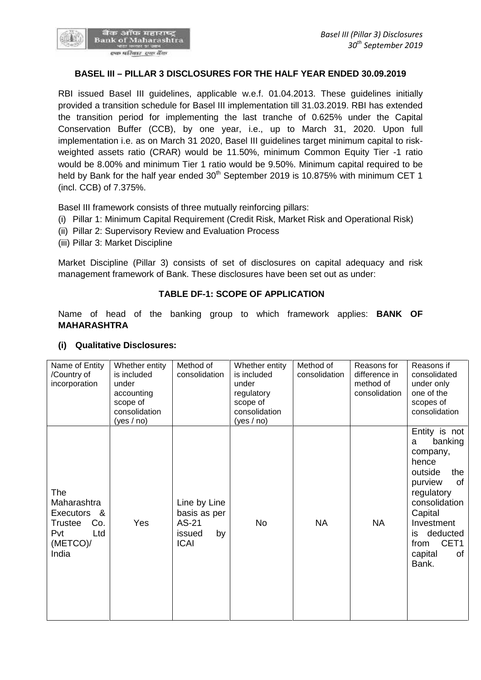

## **BASEL III – PILLAR 3 DISCLOSURES FOR THE HALF YEAR ENDED 30.09.2019**

RBI issued Basel III guidelines, applicable w.e.f. 01.04.2013. These guidelines initially provided a transition schedule for Basel III implementation till 31.03.2019. RBI has extended the transition period for implementing the last tranche of 0.625% under the Capital Conservation Buffer (CCB), by one year, i.e., up to March 31, 2020. Upon full implementation i.e. as on March 31 2020, Basel III guidelines target minimum capital to risk weighted assets ratio (CRAR) would be 11.50%, minimum Common Equity Tier -1 ratio would be 8.00% and minimum Tier 1 ratio would be 9.50%. Minimum capital required to be held by Bank for the half year ended 30<sup>th</sup> September 2019 is 10.875% with minimum CET 1 (incl. CCB) of 7.375%.

Basel III framework consists of three mutually reinforcing pillars:

- (i) Pillar 1: Minimum Capital Requirement (Credit Risk, Market Risk and Operational Risk)
- (ii) Pillar 2: Supervisory Review and Evaluation Process
- (iii) Pillar 3: Market Discipline

Market Discipline (Pillar 3) consists of set of disclosures on capital adequacy and risk management framework of Bank. These disclosures have been set out as under:

### **TABLE DF-1: SCOPE OF APPLICATION**

Name of head of the banking group to which framework applies: **BANK OF MAHARASHTRA**

| consolidation<br>one of the<br>regulatory<br>accounting<br>scope of<br>scope of<br>scopes of<br>consolidation<br>consolidation<br>(yes / no)<br>(yes / no)                                                                                                                                                       | consolidation                                                                                  |
|------------------------------------------------------------------------------------------------------------------------------------------------------------------------------------------------------------------------------------------------------------------------------------------------------------------|------------------------------------------------------------------------------------------------|
| a<br>company,<br>hence<br>outside<br>purview<br>The<br>regulatory<br>Maharashtra<br>Line by Line<br>basis as per<br>Capital<br>Executors &<br>Yes<br>AS-21<br>No<br><b>NA</b><br><b>NA</b><br>Trustee<br>Co.<br>Pvt<br>Ltd<br>issued<br>by<br>is<br>(METCO)/<br><b>ICAI</b><br>from<br>India<br>capital<br>Bank. | Entity is not<br>banking<br>the<br>οf<br>consolidation<br>Investment<br>deducted<br>CET1<br>0f |

#### **(i) Qualitative Disclosures:**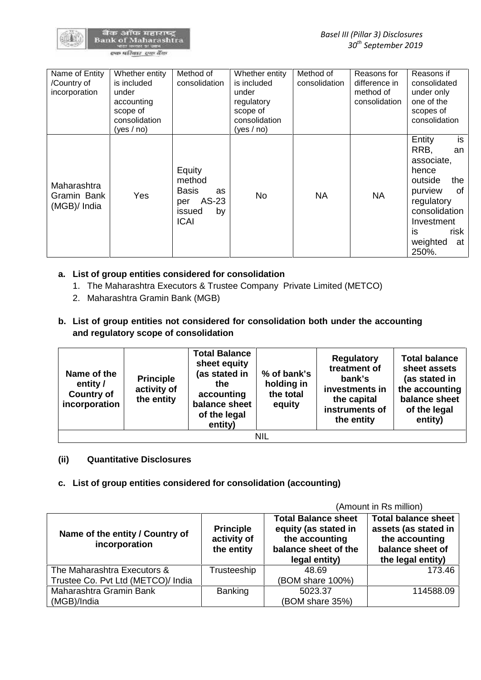

| Name of Entity<br>/Country of<br>incorporation | Whether entity<br>is included<br>under<br>accounting<br>scope of<br>consolidation<br>(yes / no) | Method of<br>consolidation                                                                   | Whether entity<br>is included<br>under<br>regulatory<br>scope of<br>consolidation<br>(yes / no) | Method of<br>consolidation | Reasons for<br>difference in<br>method of<br>consolidation | Reasons if<br>consolidated<br>under only<br>one of the<br>scopes of<br>consolidation                                                                                       |
|------------------------------------------------|-------------------------------------------------------------------------------------------------|----------------------------------------------------------------------------------------------|-------------------------------------------------------------------------------------------------|----------------------------|------------------------------------------------------------|----------------------------------------------------------------------------------------------------------------------------------------------------------------------------|
| Maharashtra<br>Gramin Bank<br>(MGB)/ India     | <b>Yes</b>                                                                                      | Equity<br>method<br><b>Basis</b><br><b>as</b><br>AS-23<br>per<br>by<br>issued<br><b>ICAI</b> | <b>No</b>                                                                                       | <b>NA</b>                  | <b>NA</b>                                                  | is<br>Entity<br>RRB,<br>an<br>associate,<br>hence<br>outside<br>the<br>purview<br>0f<br>regulatory<br>consolidation<br>Investment<br>risk<br>is<br>weighted<br>at<br>250%. |

# **a. List of group entities considered for consolidation**

- 1. The Maharashtra Executors & Trustee Company Private Limited (METCO)
- 2. Maharashtra Gramin Bank (MGB)
- **b. List of group entities not considered for consolidation both under the accounting and regulatory scope of consolidation**

| Name of the<br>entity /<br><b>Country of</b><br>incorporation | <b>Principle</b><br>activity of<br>the entity | <b>Total Balance</b><br>sheet equity<br>(as stated in<br>the.<br>accounting<br>balance sheet<br>of the legal<br>entity) | % of bank's<br>holding in<br>the total<br>equity | <b>Regulatory</b><br>treatment of<br>bank's<br>investments in<br>the capital<br>instruments of<br>the entity | <b>Total balance</b><br>sheet assets<br>(as stated in<br>the accounting<br>balance sheet<br>of the legal<br>entity) |
|---------------------------------------------------------------|-----------------------------------------------|-------------------------------------------------------------------------------------------------------------------------|--------------------------------------------------|--------------------------------------------------------------------------------------------------------------|---------------------------------------------------------------------------------------------------------------------|
|                                                               |                                               |                                                                                                                         | NIL                                              |                                                                                                              |                                                                                                                     |

## **(ii) Quantitative Disclosures**

## **c. List of group entities considered for consolidation (accounting)**

|                                                  |                                               |                                                                                                               | (Amount in Rs million)                                                                                        |
|--------------------------------------------------|-----------------------------------------------|---------------------------------------------------------------------------------------------------------------|---------------------------------------------------------------------------------------------------------------|
| Name of the entity / Country of<br>incorporation | <b>Principle</b><br>activity of<br>the entity | <b>Total Balance sheet</b><br>equity (as stated in<br>the accounting<br>balance sheet of the<br>legal entity) | <b>Total balance sheet</b><br>assets (as stated in<br>the accounting<br>balance sheet of<br>the legal entity) |
| The Maharashtra Executors &                      | Trusteeship                                   | 48.69                                                                                                         | 173.46                                                                                                        |
| Trustee Co. Pvt Ltd (METCO)/ India               |                                               | (BOM share 100%)                                                                                              |                                                                                                               |
| Maharashtra Gramin Bank                          | <b>Banking</b>                                | 5023.37                                                                                                       | 114588.09                                                                                                     |
| (MGB)/India                                      |                                               | (BOM share 35%)                                                                                               |                                                                                                               |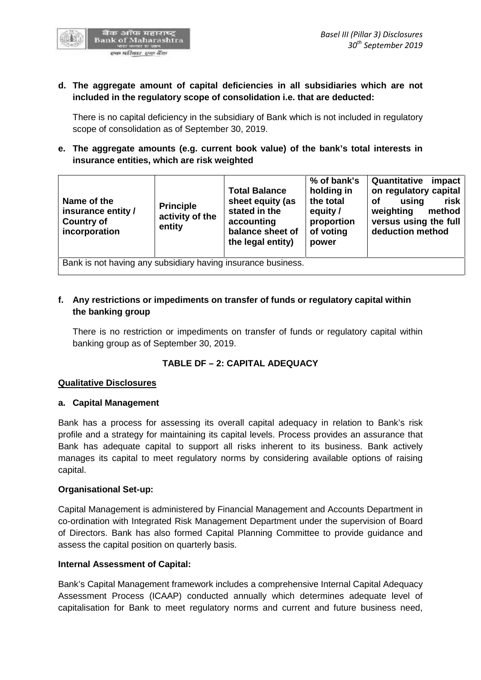

## **d. The aggregate amount of capital deficiencies in all subsidiaries which are not included in the regulatory scope of consolidation i.e. that are deducted:**

There is no capital deficiency in the subsidiary of Bank which is not included in regulatory scope of consolidation as of September 30, 2019.

## **e. The aggregate amounts (e.g. current book value) of the bank's total interests in insurance entities, which are risk weighted**

| Name of the<br>insurance entity /<br><b>Country of</b><br>incorporation | <b>Principle</b><br>activity of the<br>entity | <b>Total Balance</b><br>sheet equity (as<br>stated in the<br>accounting<br>balance sheet of<br>the legal entity) | % of bank's<br>holding in<br>the total<br>equity /<br>proportion<br>of voting<br>power | Quantitative<br>impact<br>on regulatory capital<br>οf<br>risk<br>using<br>weighting<br>method<br>versus using the full<br>deduction method |
|-------------------------------------------------------------------------|-----------------------------------------------|------------------------------------------------------------------------------------------------------------------|----------------------------------------------------------------------------------------|--------------------------------------------------------------------------------------------------------------------------------------------|
| Bank is not having any subsidiary having insurance business.            |                                               |                                                                                                                  |                                                                                        |                                                                                                                                            |

## **f. Any restrictions or impediments on transfer of funds or regulatory capital within the banking group**

There is no restriction or impediments on transfer of funds or regulatory capital within banking group as of September 30, 2019.

# **TABLE DF – 2:CAPITAL ADEQUACY**

### **Qualitative Disclosures**

### **a. Capital Management**

Bank has a process for assessing its overall capital adequacy in relation to Bank's risk profile and a strategy for maintaining its capital levels. Process provides an assurance that Bank has adequate capital to support all risks inherent to its business. Bank actively manages its capital to meet regulatory norms by considering available options of raising capital.

### **Organisational Set-up:**

Capital Management is administered by Financial Management and Accounts Department in co-ordination with Integrated Risk Management Department under the supervision of Board of Directors. Bank has also formed Capital Planning Committee to provide guidance and assess the capital position on quarterly basis.

### **Internal Assessment of Capital:**

Bank's Capital Management framework includes a comprehensive Internal Capital Adequacy Assessment Process (ICAAP) conducted annually which determines adequate level of capitalisation for Bank to meet regulatory norms and current and future business need,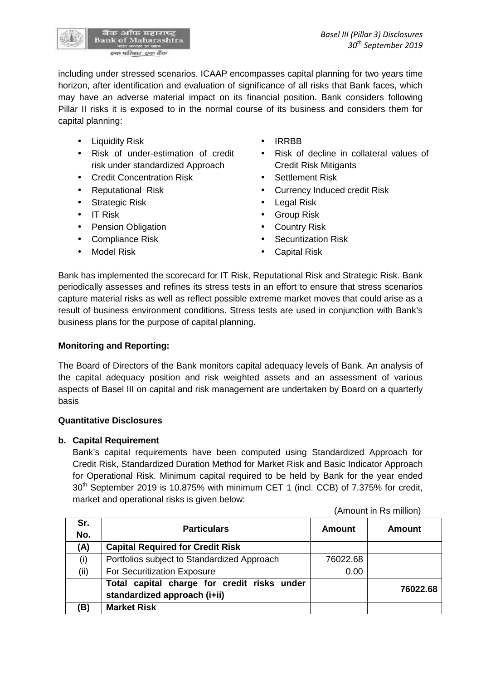

including under stressed scenarios. ICAAP encompasses capital planning for two years time horizon, after identification and evaluation of significance of all risks that Bank faces, which may have an adverse material impact on its financial position. Bank considers following Pillar II risks it is exposed to in the normal course of its business and considers them for capital planning:

- Liquidity Risk **IRRBB**
- Risk of under-estimation of credit risk under standardized Approach
- Credit Concentration Risk **•** Settlement Risk
- 
- Strategic Risk **Contract Contract Contract Contract Contract Contract Contract Contract Contract Contract Contract Contract Contract Contract Contract Contract Contract Contract Contract Contract Contract Contract Contract**
- 
- Pension Obligation **Country Risk**
- 
- 
- 
- Risk of decline in collateral values of Credit Risk Mitigants
- 
- Reputational Risk **Currency Induced credit Risk** 
	-
- IT Risk Group Risk
	-
- Compliance Risk **COMPLIANCE Risk Securitization Risk**
- Model Risk **Capital Risk Capital Risk**

Bank has implemented the scorecard for IT Risk, Reputational Risk and Strategic Risk. Bank periodically assesses and refines its stress tests in an effort to ensure that stress scenarios capture material risks as well as reflect possible extreme market moves that could arise as a result of business environment conditions. Stress tests are used in conjunction with Bank's business plans for the purpose of capital planning.

# **Monitoring and Reporting:**

The Board of Directors of the Bank monitors capital adequacy levels of Bank. An analysis of the capital adequacy position and risk weighted assets and an assessment of various aspects of Basel III on capital and risk management are undertaken by Board on a quarterly basis

## **Quantitative Disclosures**

### **b. Capital Requirement**

Bank's capital requirements have been computed using Standardized Approach for Credit Risk, Standardized Duration Method for Market Risk and Basic Indicator Approach for Operational Risk. Minimum capital required to be held by Bank for the year ended 30 th September 2019 is 10.875% with minimum CET 1 (incl. CCB) of 7.375% for credit, market and operational risks is given below:

(Amount in Rs million)

| Sr.<br>No. | <b>Particulars</b>                                                          | Amount   | Amount   |
|------------|-----------------------------------------------------------------------------|----------|----------|
| (A)        | <b>Capital Required for Credit Risk</b>                                     |          |          |
| (i)        | Portfolios subject to Standardized Approach                                 | 76022.68 |          |
| (ii)       | For Securitization Exposure                                                 | 0.00     |          |
|            | Total capital charge for credit risks under<br>standardized approach (i+ii) |          | 76022.68 |
| (B)        | <b>Market Risk</b>                                                          |          |          |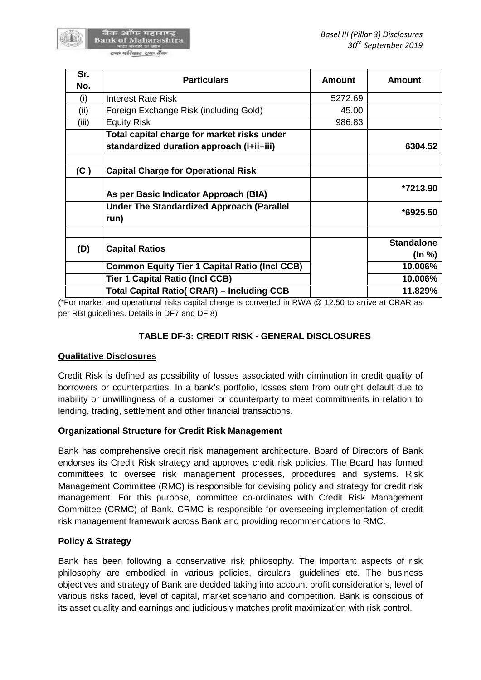| Sr.   | <b>Particulars</b>                                       | <b>Amount</b> | <b>Amount</b>     |
|-------|----------------------------------------------------------|---------------|-------------------|
| No.   |                                                          |               |                   |
| (i)   | Interest Rate Risk                                       | 5272.69       |                   |
| (ii)  | Foreign Exchange Risk (including Gold)                   | 45.00         |                   |
| (iii) | <b>Equity Risk</b>                                       | 986.83        |                   |
|       | Total capital charge for market risks under              |               |                   |
|       | standardized duration approach (i+ii+iii)                |               | 6304.52           |
| (C)   | <b>Capital Charge for Operational Risk</b>               |               |                   |
|       | As per Basic Indicator Approach (BIA)                    |               | *7213.90          |
|       | <b>Under The Standardized Approach (Parallel</b><br>run) |               | $*6925.50$        |
|       |                                                          |               | <b>Standalone</b> |
| (D)   | <b>Capital Ratios</b>                                    |               | (In %)            |
|       | <b>Common Equity Tier 1 Capital Ratio (Incl CCB)</b>     |               | 10.006%           |
|       | <b>Tier 1 Capital Ratio (Incl CCB)</b>                   |               | 10.006%           |
|       | <b>Total Capital Ratio( CRAR) – Including CCB</b>        |               | 11.829%           |

(\*For market and operational risks capital charge is converted in RWA @ 12.50 to arrive at CRAR as per RBI guidelines. Details in DF7 and DF 8)

## **TABLE DF-3: CREDIT RISK - GENERAL DISCLOSURES**

### **Qualitative Disclosures**

Credit Risk is defined as possibility of losses associated with diminution in credit quality of borrowers or counterparties. In a bank's portfolio, losses stem from outright default due to inability or unwillingness of a customer or counterparty to meet commitments in relation to lending, trading, settlement and other financial transactions.

### **Organizational Structure for Credit Risk Management**

Bank has comprehensive credit risk management architecture. Board of Directors of Bank endorses its Credit Risk strategy and approves credit risk policies. The Board has formed committees to oversee risk management processes, procedures and systems. Risk Management Committee (RMC) is responsible for devising policy and strategy for credit risk management. For this purpose, committee co-ordinates with Credit Risk Management Committee (CRMC) of Bank. CRMC is responsible for overseeing implementation of credit risk management framework across Bank and providing recommendations to RMC.

# **Policy & Strategy**

Bank has been following a conservative risk philosophy. The important aspects of risk philosophy are embodied in various policies, circulars, guidelines etc. The business objectives and strategy of Bank are decided taking into account profit considerations, level of various risks faced, level of capital, market scenario and competition. Bank is conscious of its asset quality and earnings and judiciously matches profit maximization with risk control.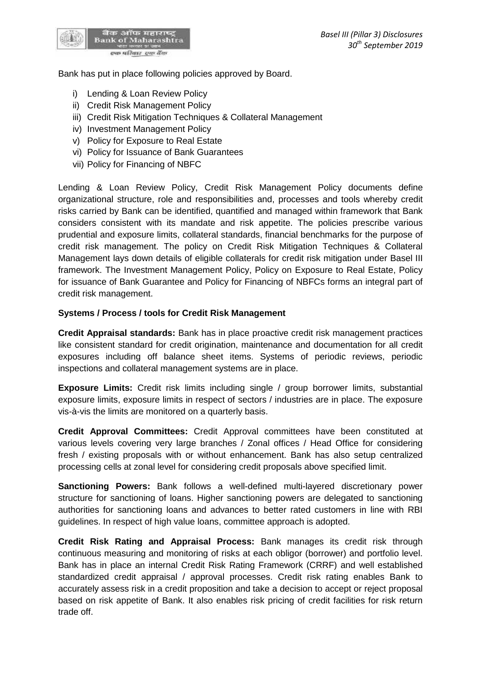

Bank has put in place following policies approved by Board.

- i) Lending & Loan Review Policy
- ii) Credit Risk Management Policy
- iii) Credit Risk Mitigation Techniques & Collateral Management
- iv) Investment Management Policy
- v) Policy for Exposure to Real Estate
- vi) Policy for Issuance of Bank Guarantees
- vii) Policy for Financing of NBFC

Lending & Loan Review Policy, Credit Risk Management Policy documents define organizational structure, role and responsibilities and, processes and tools whereby credit risks carried by Bank can be identified, quantified and managed within framework that Bank considers consistent with its mandate and risk appetite. The policies prescribe various prudential and exposure limits, collateral standards, financial benchmarks for the purpose of credit risk management. The policy on Credit Risk Mitigation Techniques & Collateral Management lays down details of eligible collaterals for credit risk mitigation under Basel III framework. The Investment Management Policy, Policy on Exposure to RealEstate, Policy for issuance of Bank Guarantee and Policy for Financing of NBFCs forms an integral part of credit risk management.

### **Systems / Process / tools for Credit Risk Management**

**Credit Appraisal standards:** Bank has in place proactive credit risk management practices like consistent standard for credit origination, maintenance and documentation for all credit exposures including off balance sheet items. Systems of periodic reviews, periodic inspections and collateral management systems are in place.

**Exposure Limits:** Credit risk limits including single / group borrower limits, substantial exposure limits, exposure limits in respect of sectors / industries are in place. The exposure vis-à-vis the limits are monitored on a quarterly basis.

**Credit Approval Committees:** Credit Approval committees have been constituted at various levels covering very large branches / Zonal offices / Head Office for considering fresh / existing proposals with or without enhancement. Bank has also setup centralized processing cells at zonal level for considering credit proposals above specified limit.

**Sanctioning Powers:** Bank follows a well-defined multi-layered discretionary power structure for sanctioning of loans. Higher sanctioning powers are delegated to sanctioning authorities for sanctioning loans and advances to better rated customers in line with RBI guidelines. In respect of high value loans, committee approach is adopted.

**Credit Risk Rating and Appraisal Process:** Bank manages its credit risk through continuous measuring and monitoring of risks at each obligor (borrower) and portfolio level. Bank has in place an internal Credit Risk Rating Framework (CRRF) and well established standardized credit appraisal / approval processes. Credit risk rating enables Bank to accurately assess risk in a credit proposition and take a decision to accept or reject proposal based on risk appetite of Bank. It also enables risk pricing of credit facilities for risk return trade off.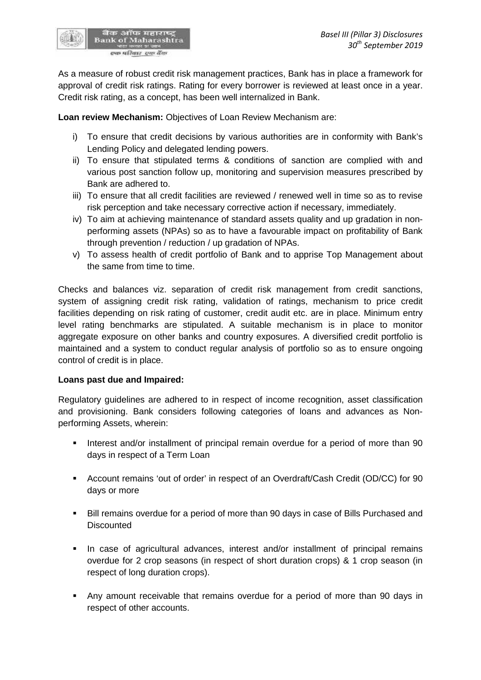

As a measure of robust credit risk management practices, Bank has in place a framework for approval of credit risk ratings. Rating for every borrower is reviewed at least once in a year. Credit risk rating, as a concept, has been well internalized in Bank.

**Loan review Mechanism:** Objectives of Loan Review Mechanism are:

- i) To ensure that credit decisions by various authorities are in conformity with Bank's Lending Policy and delegated lending powers.
- ii) To ensure that stipulated terms & conditions of sanction are complied with and various post sanction follow up, monitoring and supervision measures prescribed by Bank are adhered to.
- iii) To ensure that all credit facilities are reviewed / renewed well in time so as to revise risk perception and take necessary corrective action if necessary, immediately.
- iv) To aim at achieving maintenance of standard assets quality and up gradation in non performing assets (NPAs) so as to have a favourable impact on profitability of Bank through prevention / reduction / up gradation of NPAs.
- v) To assess health of credit portfolio of Bank and to apprise Top Management about the same from time to time.

Checks and balances viz. separation of credit risk management from credit sanctions, system of assigning credit risk rating, validation of ratings, mechanism to price credit facilities depending on risk rating of customer, credit audit etc. are in place. Minimum entry level rating benchmarks are stipulated. A suitable mechanism is in place to monitor aggregate exposure on other banks and country exposures. A diversified credit portfolio is maintained and a system to conduct regular analysis of portfolio so as to ensure ongoing control of credit is in place.

# **Loans past due and Impaired:**

Regulatory guidelines are adhered to in respect of income recognition, asset classification and provisioning. Bank considers following categories of loans and advances as Non performing Assets, wherein:

- Interest and/or installment of principal remain overdue for a period of more than 90 days in respect of a Term Loan
- Account remains 'out of order' in respect of an Overdraft/Cash Credit (OD/CC) for 90 days or more
- Bill remains overdue for a period of more than 90 days in case of Bills Purchased and **Discounted**
- In case of agricultural advances, interest and/or installment of principal remains overdue for 2 crop seasons (in respect of short duration crops) & 1 crop season (in respect of long duration crops).
- Any amount receivable that remains overdue for a period of more than 90 days in respect of other accounts.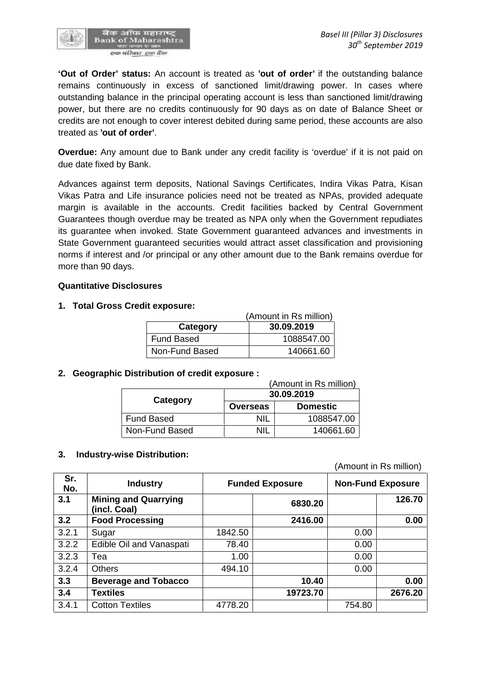

**'Out of Order' status:** An account is treated as **'out of order'** if the outstanding balance remains continuously in excess of sanctioned limit/drawing power. In cases where outstanding balance in the principal operating account is less than sanctioned limit/drawing power, but there are no credits continuously for 90 days as on date of Balance Sheet or credits are not enough to cover interest debited during same period, these accounts are also treated as **'out of order'**.

**Overdue:** Any amount due to Bank under any credit facility is 'overdue' if it is not paid on due date fixed by Bank.

Advances against term deposits, National Savings Certificates, Indira Vikas Patra, Kisan Vikas Patra and Life insurance policies need not be treated as NPAs, provided adequate margin is available in the accounts. Credit facilities backed by Central Government Guarantees though overdue may be treated as NPA only when the Government repudiates its guarantee when invoked. State Government guaranteed advances and investments in State Government guaranteed securities would attract asset classification and provisioning norms if interest and /or principal or any other amount due to the Bank remains overdue for more than 90 days.

#### **Quantitative Disclosures**

### **1. Total Gross Credit exposure:**

| (Amount in Rs million) |            |  |
|------------------------|------------|--|
| Category               | 30.09.2019 |  |
| Fund Based             | 1088547.00 |  |
| Non-Fund Based         | 140661.60  |  |

### **2. Geographic Distribution of credit exposure :**

| (Amount in Rs million) |                 |                 |  |  |
|------------------------|-----------------|-----------------|--|--|
|                        | 30.09.2019      |                 |  |  |
| Category               | <b>Overseas</b> | <b>Domestic</b> |  |  |
| Fund Based             | NIL             | 1088547.00      |  |  |
| Non-Fund Based         | NII             | 140661.60       |  |  |

#### **3. Industry-wise Distribution:**

(Amount in Rs million)

| Sr.<br>No. | <b>Industry</b>                             | <b>Funded Exposure</b> |          | <b>Non-Fund Exposure</b> |         |
|------------|---------------------------------------------|------------------------|----------|--------------------------|---------|
| 3.1        | <b>Mining and Quarrying</b><br>(incl. Coal) |                        | 6830.20  |                          | 126.70  |
| 3.2        | <b>Food Processing</b>                      |                        | 2416.00  |                          | 0.00    |
| 3.2.1      | Sugar                                       | 1842.50                |          | 0.00                     |         |
| 3.2.2      | Edible Oil and Vanaspati                    | 78.40                  |          | 0.00                     |         |
| 3.2.3      | Tea                                         | 1.00                   |          | 0.00                     |         |
| 3.2.4      | <b>Others</b>                               | 494.10                 |          | 0.00                     |         |
| 3.3        | <b>Beverage and Tobacco</b>                 |                        | 10.40    |                          | 0.00    |
| 3.4        | <b>Textiles</b>                             |                        | 19723.70 |                          | 2676.20 |
| 3.4.1      | <b>Cotton Textiles</b>                      | 4778.20                |          | 754.80                   |         |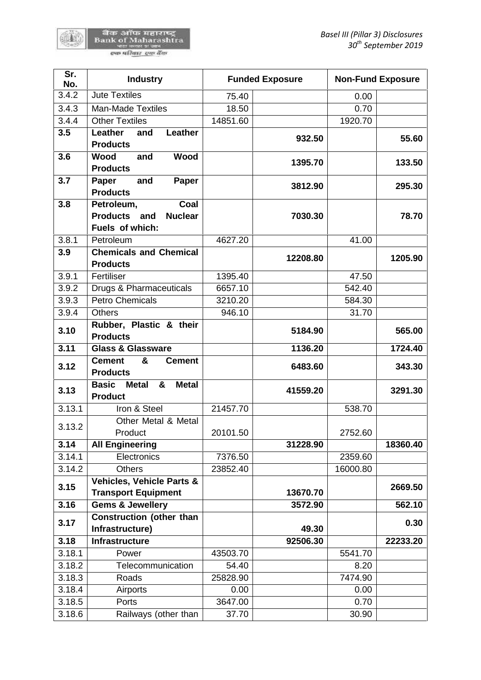बैंक ऑफ महाराष्ट्र<br>Bank of Maharashtra<br>स्वाधिकार स्वाधिक

60

| Sr.<br>No. | <b>Industry</b>                                                     |          | <b>Funded Exposure</b> | <b>Non-Fund Exposure</b> |          |
|------------|---------------------------------------------------------------------|----------|------------------------|--------------------------|----------|
| 3.4.2      | <b>Jute Textiles</b>                                                | 75.40    |                        | 0.00                     |          |
| 3.4.3      | Man-Made Textiles                                                   | 18.50    |                        | 0.70                     |          |
| 3.4.4      | <b>Other Textiles</b>                                               | 14851.60 |                        | 1920.70                  |          |
| 3.5        | Leather<br>Leather<br>and                                           |          | 932.50                 |                          | 55.60    |
|            | <b>Products</b>                                                     |          |                        |                          |          |
| 3.6        | Wood<br><b>Wood</b><br>and                                          |          | 1395.70                |                          | 133.50   |
|            | <b>Products</b>                                                     |          |                        |                          |          |
| 3.7        | and<br>Paper<br>Paper                                               |          | 3812.90                |                          | 295.30   |
|            | <b>Products</b>                                                     |          |                        |                          |          |
| 3.8        | Petroleum,<br>Coal                                                  |          |                        |                          |          |
|            | <b>Products</b><br><b>Nuclear</b><br>and                            |          | 7030.30                |                          | 78.70    |
|            | Fuels of which:                                                     |          |                        |                          |          |
| 3.8.1      | Petroleum                                                           | 4627.20  |                        | 41.00                    |          |
| 3.9        | <b>Chemicals and Chemical</b>                                       |          | 12208.80               |                          | 1205.90  |
|            | <b>Products</b>                                                     |          |                        |                          |          |
| 3.9.1      | Fertiliser                                                          | 1395.40  |                        | 47.50                    |          |
| 3.9.2      | Drugs & Pharmaceuticals                                             | 6657.10  |                        | 542.40                   |          |
| 3.9.3      | <b>Petro Chemicals</b>                                              | 3210.20  |                        | 584.30                   |          |
| 3.9.4      | <b>Others</b>                                                       | 946.10   |                        | 31.70                    |          |
| 3.10       | Rubber, Plastic & their<br><b>Products</b>                          |          | 5184.90                |                          | 565.00   |
| 3.11       | <b>Glass &amp; Glassware</b>                                        |          | 1136.20                |                          | 1724.40  |
| 3.12       | <b>Cement</b><br>&<br><b>Cement</b><br><b>Products</b>              |          | 6483.60                |                          | 343.30   |
| 3.13       | <b>Basic</b><br><b>Metal</b><br>&<br><b>Metal</b><br><b>Product</b> |          | 41559.20               |                          | 3291.30  |
| 3.13.1     | Iron & Steel                                                        | 21457.70 |                        | 538.70                   |          |
|            | Other Metal & Metal                                                 |          |                        |                          |          |
| 3.13.2     | Product                                                             | 20101.50 |                        | 2752.60                  |          |
| 3.14       | <b>All Engineering</b>                                              |          | 31228.90               |                          | 18360.40 |
| 3.14.1     | <b>Electronics</b>                                                  | 7376.50  |                        | 2359.60                  |          |
| 3.14.2     | <b>Others</b>                                                       | 23852.40 |                        | 16000.80                 |          |
| 3.15       | <b>Vehicles, Vehicle Parts &amp;</b>                                |          |                        |                          | 2669.50  |
|            | <b>Transport Equipment</b>                                          |          | 13670.70               |                          |          |
| 3.16       | <b>Gems &amp; Jewellery</b>                                         |          | 3572.90                |                          | 562.10   |
| 3.17       | <b>Construction (other than</b>                                     |          |                        |                          | 0.30     |
|            | Infrastructure)                                                     |          | 49.30                  |                          |          |
| 3.18       | <b>Infrastructure</b>                                               |          | 92506.30               |                          | 22233.20 |
| 3.18.1     | Power                                                               | 43503.70 |                        | 5541.70                  |          |
| 3.18.2     | Telecommunication                                                   | 54.40    |                        | 8.20                     |          |
| 3.18.3     | Roads                                                               | 25828.90 |                        | 7474.90                  |          |
| 3.18.4     | Airports                                                            | 0.00     |                        | 0.00                     |          |
| 3.18.5     | Ports                                                               | 3647.00  |                        | 0.70                     |          |
| 3.18.6     | Railways (other than                                                | 37.70    |                        | 30.90                    |          |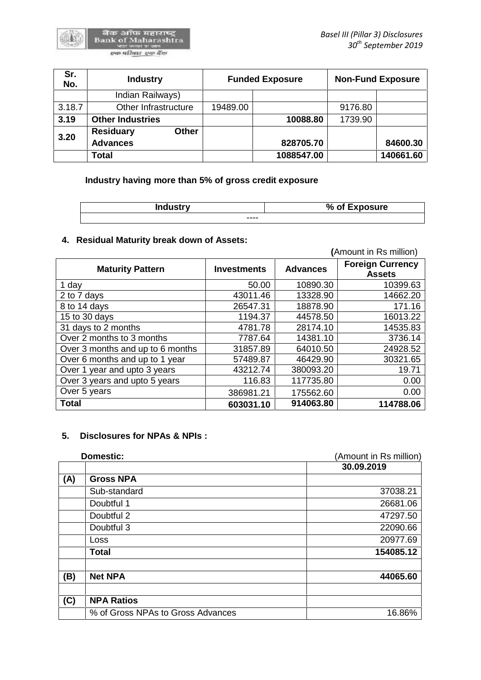| Sr.<br>No. | <b>Industry</b>           | <b>Funded Exposure</b> |            | <b>Non-Fund Exposure</b> |           |
|------------|---------------------------|------------------------|------------|--------------------------|-----------|
|            | Indian Railways)          |                        |            |                          |           |
| 3.18.7     | Other Infrastructure      | 19489.00               |            | 9176.80                  |           |
| 3.19       | <b>Other Industries</b>   |                        | 10088.80   | 1739.90                  |           |
| 3.20       | <b>Residuary</b><br>Other |                        |            |                          |           |
|            | <b>Advances</b>           |                        | 828705.70  |                          | 84600.30  |
|            | Total                     |                        | 1088547.00 |                          | 140661.60 |

**Industry having more than 5% of gross credit exposure**

| <b>Industry</b> | % of Exposure |
|-----------------|---------------|
| ----            |               |

# **4. Residual Maturity break down of Assets:**

|                                  |                    |                 | (Amount in Rs million)                   |
|----------------------------------|--------------------|-----------------|------------------------------------------|
| <b>Maturity Pattern</b>          | <b>Investments</b> | <b>Advances</b> | <b>Foreign Currency</b><br><b>Assets</b> |
| 1 day                            | 50.00              | 10890.30        | 10399.63                                 |
| 2 to 7 days                      | 43011.46           | 13328.90        | 14662.20                                 |
| 8 to 14 days                     | 26547.31           | 18878.90        | 171.16                                   |
| 15 to 30 days                    | 1194.37            | 44578.50        | 16013.22                                 |
| 31 days to 2 months              | 4781.78            | 28174.10        | 14535.83                                 |
| Over 2 months to 3 months        | 7787.64            | 14381.10        | 3736.14                                  |
| Over 3 months and up to 6 months | 31857.89           | 64010.50        | 24928.52                                 |
| Over 6 months and up to 1 year   | 57489.87           | 46429.90        | 30321.65                                 |
| Over 1 year and upto 3 years     | 43212.74           | 380093.20       | 19.71                                    |
| Over 3 years and upto 5 years    | 116.83             | 117735.80       | 0.00                                     |
| Over 5 years                     | 386981.21          | 175562.60       | 0.00                                     |
| <b>Total</b>                     | 603031.10          | 914063.80       | 114788.06                                |

## **5. Disclosures for NPAs & NPIs :**

| Domestic: |                                   | (Amount in Rs million) |
|-----------|-----------------------------------|------------------------|
|           |                                   | 30.09.2019             |
| (A)       | <b>Gross NPA</b>                  |                        |
|           | Sub-standard                      | 37038.21               |
|           | Doubtful 1                        | 26681.06               |
|           | Doubtful 2                        | 47297.50               |
|           | Doubtful 3                        | 22090.66               |
|           | <b>Loss</b>                       | 20977.69               |
|           | <b>Total</b>                      | 154085.12              |
| (B)       | <b>Net NPA</b>                    | 44065.60               |
| (C)       | <b>NPA Ratios</b>                 |                        |
|           | % of Gross NPAs to Gross Advances | 16.86%                 |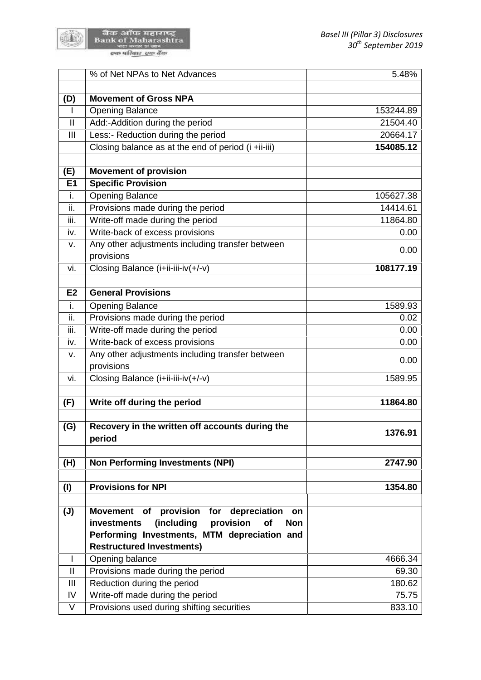

बैंक ऑफ महाराष्ट्र<br>Bank of Maharashtra<br>स्विमेशिक स्वर्गदेव

|                | % of Net NPAs to Net Advances                              | 5.48%     |
|----------------|------------------------------------------------------------|-----------|
|                |                                                            |           |
| (D)            | <b>Movement of Gross NPA</b>                               |           |
| I.             | <b>Opening Balance</b>                                     | 153244.89 |
| $\vert\vert$   | Add:-Addition during the period                            | 21504.40  |
| III            | Less:- Reduction during the period                         | 20664.17  |
|                | Closing balance as at the end of period (i +ii-iii)        | 154085.12 |
| (E)            | <b>Movement of provision</b>                               |           |
| E1             | <b>Specific Provision</b>                                  |           |
| i.             | <b>Opening Balance</b>                                     | 105627.38 |
| ii.            | Provisions made during the period                          | 14414.61  |
| iii.           | Write-off made during the period                           | 11864.80  |
| iv.            | Write-back of excess provisions                            | 0.00      |
| v.             | Any other adjustments including transfer between           | 0.00      |
|                | provisions                                                 |           |
| vi.            | Closing Balance (i+ii-iii-iv(+/-v)                         | 108177.19 |
| E <sub>2</sub> | <b>General Provisions</b>                                  |           |
| i.             | <b>Opening Balance</b>                                     | 1589.93   |
| ii.            | Provisions made during the period                          | 0.02      |
| iii.           | Write-off made during the period                           | 0.00      |
| iv.            | Write-back of excess provisions                            | 0.00      |
| v.             | Any other adjustments including transfer between           |           |
|                | provisions                                                 | 0.00      |
| vi.            | Closing Balance (i+ii-iii-iv(+/-v)                         | 1589.95   |
| (F)            | Write off during the period                                | 11864.80  |
|                |                                                            |           |
| (G)            | Recovery in the written off accounts during the<br>period  | 1376.91   |
| (H)            | <b>Non Performing Investments (NPI)</b>                    | 2747.90   |
|                |                                                            |           |
| (1)            | <b>Provisions for NPI</b>                                  | 1354.80   |
|                |                                                            |           |
| $(\mathsf{U})$ | <b>Movement</b><br>of provision for<br>depreciation<br>on  |           |
|                | provision<br>(including<br>of<br><b>Non</b><br>investments |           |
|                | Performing Investments, MTM depreciation and               |           |
|                | <b>Restructured Investments)</b>                           |           |
| $\mathbf{I}$   | Opening balance                                            | 4666.34   |
| $\mathbf{  }$  | Provisions made during the period                          | 69.30     |
| Ш              | Reduction during the period                                | 180.62    |
| IV             | Write-off made during the period                           | 75.75     |
| V              | Provisions used during shifting securities                 | 833.10    |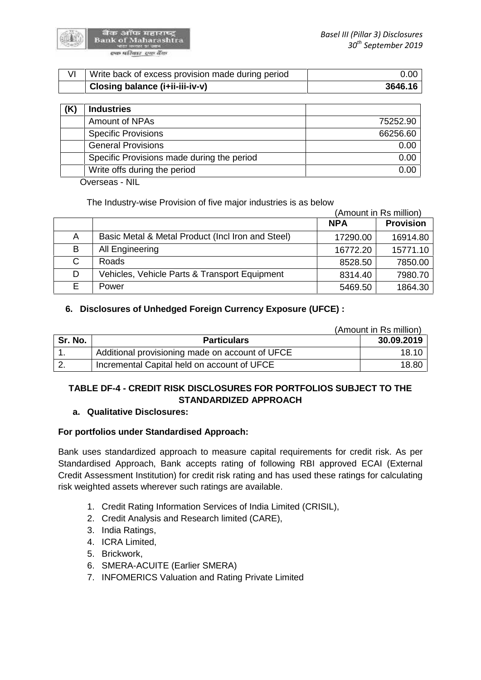

| Write back of excess provision made during period | 0.00    |
|---------------------------------------------------|---------|
| Closing balance (i+ii-iii-iv-v)                   | 3646.16 |

| <b>Industries</b>                          |          |
|--------------------------------------------|----------|
| <b>Amount of NPAs</b>                      | 75252.90 |
| <b>Specific Provisions</b>                 | 66256.60 |
| <b>General Provisions</b>                  | 0.00     |
| Specific Provisions made during the period | 0.00     |
| Write offs during the period               | 0.00     |

Overseas - NIL

The Industry-wise Provision of five major industries is as below

|   |                                                   | (Amount in Rs million) |                  |
|---|---------------------------------------------------|------------------------|------------------|
|   |                                                   | <b>NPA</b>             | <b>Provision</b> |
| A | Basic Metal & Metal Product (Incl Iron and Steel) | 17290.00               | 16914.80         |
| B | All Engineering                                   | 16772.20               | 15771.10         |
| С | <b>Roads</b>                                      | 8528.50                | 7850.00          |
| D | Vehicles, Vehicle Parts & Transport Equipment     | 8314.40                | 7980.70          |
| Е | Power                                             | 5469.50                | 1864.30          |

## **6. Disclosures of Unhedged Foreign Currency Exposure (UFCE) :**

|         |                                                 | (Amount in Rs million) |
|---------|-------------------------------------------------|------------------------|
| Sr. No. | <b>Particulars</b>                              | 30.09.2019             |
|         | Additional provisioning made on account of UFCE | 18.10                  |
|         | Incremental Capital held on account of UFCE     | 18.80                  |

# **TABLE DF-4 - CREDIT RISK DISCLOSURES FOR PORTFOLIOS SUBJECT TO THE STANDARDIZED APPROACH**

### **a. Qualitative Disclosures:**

# **For portfolios under Standardised Approach:**

Bank uses standardized approach to measure capital requirements for credit risk. As per Standardised Approach, Bank accepts rating of following RBI approved ECAI (External Credit Assessment Institution) for credit risk rating and has used these ratings for calculating risk weighted assets wherever such ratings are available.

- 1. Credit Rating Information Services of India Limited (CRISIL),
- 2. Credit Analysis and Research limited (CARE),
- 3. India Ratings,
- 4. ICRA Limited,
- 5. Brickwork,
- 6. SMERA-ACUITE (Earlier SMERA)
- 7. INFOMERICS Valuation and Rating Private Limited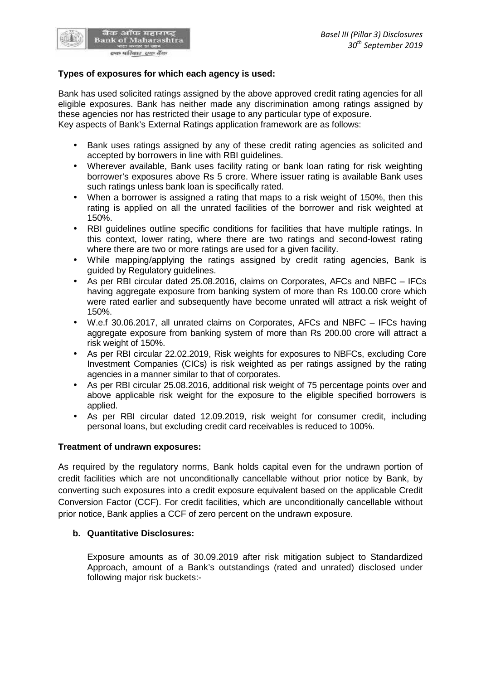

# **Types of exposures for which each agency is used:**

Bank has used solicited ratings assigned by the above approved credit rating agencies for all eligible exposures. Bank has neither made any discrimination among ratings assigned by these agencies nor has restricted their usage to any particular type of exposure. Key aspects of Bank's External Ratings application framework are as follows:

- Bank uses ratings assigned by any of these credit rating agencies as solicited and accepted by borrowers in line with RBI guidelines.
- Wherever available, Bank uses facility rating or bank loan rating for risk weighting borrower's exposures above Rs 5 crore. Where issuer rating is available Bank uses such ratings unless bank loan is specifically rated.
- When a borrower is assigned a rating that maps to a risk weight of 150%, then this rating is applied on all the unrated facilities of the borrower and risk weighted at 150%.
- RBI guidelines outline specific conditions for facilities that have multiple ratings. In this context, lower rating, where there are two ratings and second-lowest rating where there are two or more ratings are used for a given facility.
- While mapping/applying the ratings assigned by credit rating agencies, Bank is guided by Regulatory guidelines.
- As per RBI circular dated 25.08.2016, claims on Corporates, AFCs and NBFC IFCs having aggregate exposure from banking system of more than Rs 100.00 crore which were rated earlier and subsequently have become unrated will attract a risk weight of 150%.
- W.e.f 30.06.2017, all unrated claims on Corporates, AFCs and NBFC IFCs having aggregate exposure from banking system of more than Rs 200.00 crore will attract a risk weight of 150%.
- As per RBI circular 22.02.2019, Risk weights for exposures to NBFCs, excluding Core Investment Companies (CICs) is risk weighted as per ratings assigned by the rating agencies in a manner similar to that of corporates.
- As per RBI circular 25.08.2016, additional risk weight of 75 percentage points over and above applicable risk weight for the exposure to the eligible specified borrowers is applied.
- As per RBI circular dated 12.09.2019, risk weight for consumer credit, including personal loans, but excluding credit card receivables is reduced to 100%.

### **Treatment of undrawn exposures:**

As required by the regulatory norms, Bank holds capital even for the undrawn portion of credit facilities which are not unconditionally cancellable without prior notice by Bank, by converting such exposures into a credit exposure equivalent based on the applicable Credit Conversion Factor (CCF). For credit facilities, which are unconditionally cancellable without prior notice, Bank applies a CCF of zero percent on the undrawn exposure.

### **b. Quantitative Disclosures:**

Exposure amounts as of 30.09.2019 after risk mitigation subject to Standardized Approach, amount of a Bank's outstandings (rated and unrated) disclosed under following major risk buckets:-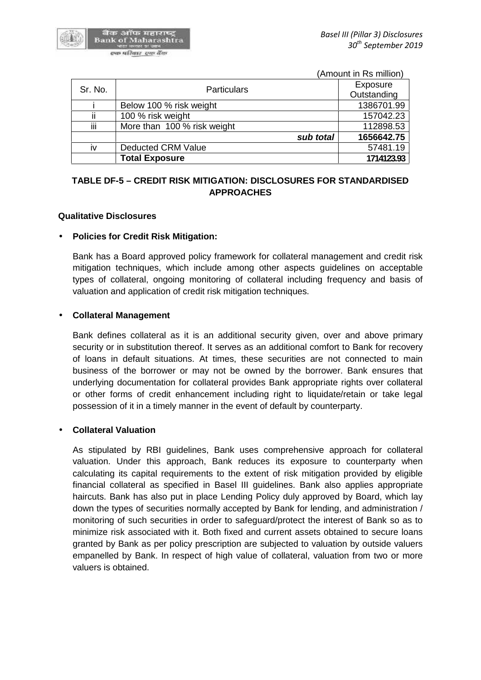

(Amount in Rs million)

| Sr. No. | <b>Particulars</b>          | Exposure    |
|---------|-----------------------------|-------------|
|         |                             | Outstanding |
|         | Below 100 % risk weight     | 1386701.99  |
| ii      | 100 % risk weight           | 157042.23   |
| iii     | More than 100 % risk weight | 112898.53   |
|         | sub total                   | 1656642.75  |
| iv      | <b>Deducted CRM Value</b>   | 57481.19    |
|         | <b>Total Exposure</b>       | 1714123.93  |

# **TABLE DF-5 – CREDIT RISK MITIGATION: DISCLOSURES FOR STANDARDISED APPROACHES**

#### **Qualitative Disclosures**

#### **Policies for Credit Risk Mitigation:**

Bank has a Board approved policy framework for collateral management and credit risk mitigation techniques, which include among other aspects guidelines on acceptable types of collateral, ongoing monitoring of collateral including frequency and basis of valuation and application of credit risk mitigation techniques.

#### **Collateral Management**

Bank defines collateral as it is an additional security given, over and above primary security or in substitution thereof. It serves as an additional comfort to Bank for recovery of loans in default situations. At times, these securities are not connected to main business of the borrower or may not be owned by the borrower. Bank ensures that underlying documentation for collateral provides Bank appropriate rights over collateral or other forms of credit enhancement including right to liquidate/retain or take legal possession of it in a timely manner in the event of default by counterparty.

### **Collateral Valuation**

As stipulated by RBI guidelines, Bank uses comprehensive approach for collateral valuation. Under this approach, Bank reduces its exposure to counterparty when calculating its capital requirements to the extent of risk mitigation provided by eligible financial collateral as specified in Basel III guidelines. Bank also applies appropriate haircuts. Bank has also put in place Lending Policy duly approved by Board, which lay down the types of securities normally accepted by Bank for lending, and administration / monitoring of such securities in order to safeguard/protect the interest of Bank so as to minimize risk associated with it. Both fixed and current assets obtained to secure loans granted by Bank as per policy prescription are subjected to valuation by outside valuers empanelled by Bank. In respect of high value of collateral, valuation from two or more valuers is obtained.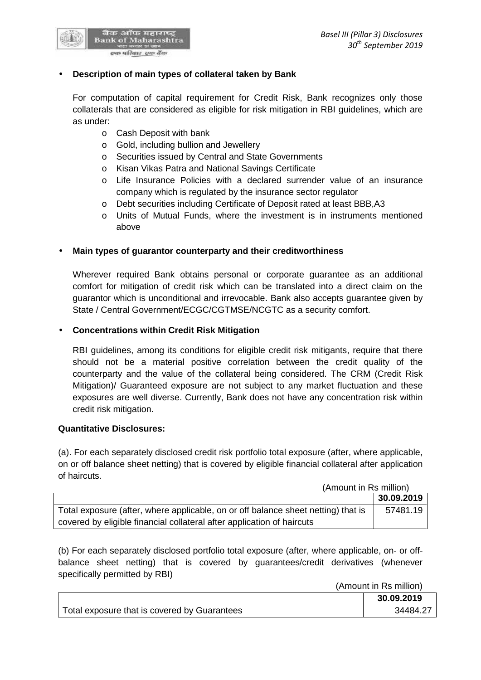

#### **Description of main types of collateral taken by Bank**

For computation of capital requirement for Credit Risk, Bank recognizes only those collaterals that are considered as eligible for risk mitigation in RBI guidelines, which are as under:

- o Cash Deposit with bank
- o Gold, including bullion and Jewellery
- o Securities issued by Central and State Governments
- o Kisan Vikas Patra and National Savings Certificate
- o Life Insurance Policies with a declared surrender value of an insurance company which is regulated by the insurance sector regulator
- o Debt securities including Certificate of Deposit rated at least BBB,A3
- o Units of Mutual Funds, where the investment is in instruments mentioned above

### **Main types of guarantor counterparty and their creditworthiness**

Wherever required Bank obtains personal or corporate guarantee as an additional comfort for mitigation of credit risk which can be translated into a direct claim on the guarantor which is unconditional and irrevocable. Bank also accepts guarantee given by State / Central Government/ECGC/CGTMSE/NCGTC as a security comfort.

#### **Concentrations within Credit Risk Mitigation**

RBI guidelines, among its conditions for eligible credit risk mitigants, require that there should not be a material positive correlation between the credit quality of the counterparty and the value of the collateral being considered. The CRM (Credit Risk Mitigation)/ Guaranteed exposure are not subject to any market fluctuation and these exposures are well diverse. Currently, Bank does not have any concentration risk within credit risk mitigation.

#### **Quantitative Disclosures:**

(a). For each separately disclosed credit risk portfolio total exposure (after, where applicable, on or off balance sheet netting) that is covered by eligible financial collateral after application of haircuts.

|                                                                                   | (Amount in Rs million) |  |
|-----------------------------------------------------------------------------------|------------------------|--|
|                                                                                   | 30.09.2019             |  |
| Total exposure (after, where applicable, on or off balance sheet netting) that is | 57481.19               |  |
| covered by eligible financial collateral after application of haircuts            |                        |  |

(b) For each separately disclosed portfolio total exposure (after, where applicable, on- or off balance sheet netting) that is covered by guarantees/credit derivatives (whenever specifically permitted by RBI)

(Amount in Rs million)

|                                              | 30.09.2019 |
|----------------------------------------------|------------|
| Total exposure that is covered by Guarantees |            |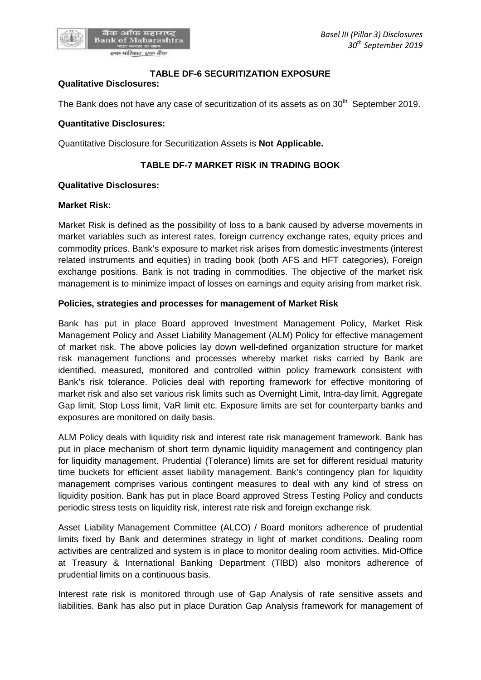#### **TABLE DF-6 SECURITIZATION EXPOSURE**

#### **Qualitative Disclosures:**

The Bank does not have any case of securitization of its assets as on  $30<sup>th</sup>$  September 2019.

#### **Quantitative Disclosures:**

Quantitative Disclosure for Securitization Assets is **Not Applicable.**

## **TABLE DF-7 MARKET RISK IN TRADING BOOK**

#### **Qualitative Disclosures:**

#### **Market Risk:**

Market Risk is defined as the possibility of loss to a bank caused by adverse movements in market variables such as interest rates, foreign currency exchange rates, equity prices and commodity prices. Bank's exposure to market risk arises from domestic investments (interest related instruments and equities) in trading book (both AFS and HFT categories), Foreign exchange positions. Bank is not trading in commodities. The objective of the market risk management is to minimize impact of losses on earnings and equity arising from market risk.

### **Policies, strategies and processes for management of Market Risk**

Bank has put in place Board approved Investment Management Policy, Market Risk Management Policy and Asset Liability Management (ALM) Policy for effective management of market risk. The above policies lay down well-defined organization structure for market risk management functions and processes whereby market risks carried by Bank are identified, measured, monitored and controlled within policy framework consistent with Bank's risk tolerance. Policies deal with reporting framework for effective monitoring of market risk and also set various risk limits such as Overnight Limit, Intra-day limit, Aggregate Gap limit, Stop Loss limit, VaR limit etc. Exposure limits are set for counterparty banks and exposures are monitored on daily basis.

ALM Policy deals with liquidity risk and interest rate risk management framework. Bank has put in place mechanism of short term dynamic liquidity management and contingency plan for liquidity management. Prudential (Tolerance) limits are set for different residual maturity time buckets for efficient asset liability management. Bank's contingency plan for liquidity management comprises various contingent measures to deal with any kind of stress on liquidity position. Bank has put in place Board approved Stress Testing Policy and conducts periodic stress tests on liquidity risk, interest rate risk and foreign exchange risk.

Asset Liability Management Committee (ALCO) / Board monitors adherence of prudential limits fixed by Bank and determines strategy in light of market conditions. Dealing room activities are centralized and system is in place to monitor dealing room activities. Mid-Office at Treasury & International Banking Department (TIBD) also monitors adherence of prudential limits on a continuous basis.

Interest rate risk is monitored through use of Gap Analysis of rate sensitive assets and liabilities. Bank has also put in place Duration Gap Analysis framework for management of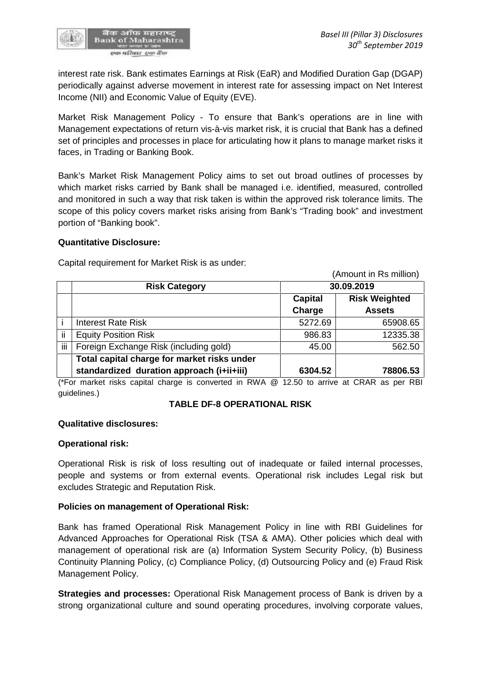

interest rate risk. Bank estimates Earnings at Risk (EaR) and Modified Duration Gap (DGAP) periodically against adverse movement in interest rate for assessing impact on Net Interest Income (NII) and Economic Value of Equity (EVE).

Market Risk Management Policy - To ensure that Bank's operations are in line with Management expectations of return vis-à-vis market risk, it is crucial that Bank has a defined set of principles and processes in place for articulating how it plans to manage market risks it faces, in Trading or Banking Book.

Bank's Market Risk Management Policy aims to set out broad outlines of processes by which market risks carried by Bank shall be managed i.e. identified, measured, controlled and monitored in such a way that risk taken is within the approved risk tolerance limits. The scope of this policy covers market risks arising from Bank's "Trading book" and investment portion of "Banking book".

### **Quantitative Disclosure:**

Capital requirement for Market Risk is as under:

(Amount in Rs million) **Risk Category 30.09.2019 Capital Charge Risk Weighted Assets** i Interest Rate Risk 5272.69 65908.65 ii Equity Position Risk  $\vert$  986.83 12335.38 iii | Foreign Exchange Risk (including gold)  $\vert$  45.00 | 562.50 **Total capital charge for market risks under standardized duration approach (i+ii+iii) 6304.52 78806.53**

(\*For market risks capital charge is converted in RWA @ 12.50 to arrive at CRAR as per RBI guidelines.)

### **TABLE DF-8 OPERATIONAL RISK**

#### **Qualitative disclosures:**

### **Operational risk:**

Operational Risk is risk of loss resulting out of inadequate or failed internal processes, people and systems or from external events. Operational risk includes Legal risk but excludes Strategic and Reputation Risk.

### **Policies on management of Operational Risk:**

Bank has framed Operational Risk Management Policy in line with RBI Guidelines for Advanced Approaches for Operational Risk (TSA & AMA). Other policies which deal with management of operational risk are (a) Information System Security Policy, (b) Business Continuity Planning Policy, (c) Compliance Policy, (d) Outsourcing Policy and (e) Fraud Risk Management Policy.

**Strategies and processes:** Operational Risk Management process of Bank is driven by a strong organizational culture and sound operating procedures, involving corporate values,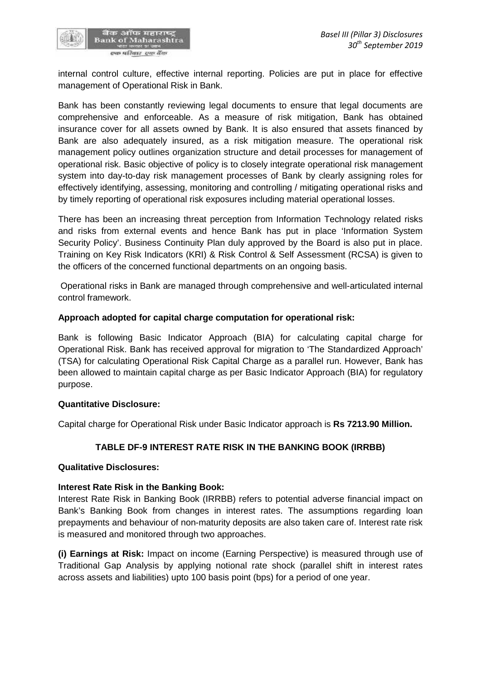

internal control culture, effective internal reporting. Policies are put in place for effective management of Operational Risk in Bank.

Bank has been constantly reviewing legal documents to ensure that legal documents are comprehensive and enforceable. As a measure of risk mitigation, Bank has obtained insurance cover for all assets owned by Bank. It is also ensured that assets financed by Bank are also adequately insured, as a risk mitigation measure. The operational risk management policy outlines organization structure and detail processes for management of operational risk. Basic objective of policy is to closely integrate operational risk management system into day-to-day risk management processes of Bank by clearly assigning roles for effectively identifying, assessing, monitoring and controlling / mitigating operational risks and by timely reporting of operational risk exposures including material operational losses.

There has been an increasing threat perception from Information Technology related risks and risks from external events and hence Bank has put in place 'Information System Security Policy'. Business Continuity Plan duly approved by the Board is also put in place. Training on Key Risk Indicators (KRI) & Risk Control & Self Assessment (RCSA) is given to the officers of the concerned functional departments on an ongoing basis.

Operational risks in Bank are managed through comprehensive and well-articulated internal control framework.

### **Approach adopted for capital charge computation for operational risk:**

Bank is following Basic Indicator Approach (BIA) for calculating capital charge for Operational Risk. Bank has received approval for migration to 'The Standardized Approach' (TSA) for calculating Operational Risk Capital Charge as a parallel run. However, Bank has been allowed to maintain capital charge as per Basic Indicator Approach (BIA) for regulatory purpose.

### **Quantitative Disclosure:**

Capital charge for Operational Risk under Basic Indicator approach is **Rs 7213.90 Million.**

# **TABLE DF-9 INTEREST RATE RISK IN THE BANKING BOOK (IRRBB)**

### **Qualitative Disclosures:**

### **Interest Rate Risk in the Banking Book:**

Interest Rate Risk in Banking Book (IRRBB) refers to potential adverse financial impact on Bank's Banking Book from changes in interest rates. The assumptions regarding loan prepayments and behaviour of non-maturity deposits are also taken care of. Interest rate risk is measured and monitored through two approaches.

**(i) Earnings at Risk:** Impact on income (Earning Perspective) is measured through use of Traditional Gap Analysis by applying notional rate shock (parallel shift in interest rates across assets and liabilities) upto 100 basis point (bps) for a period of one year.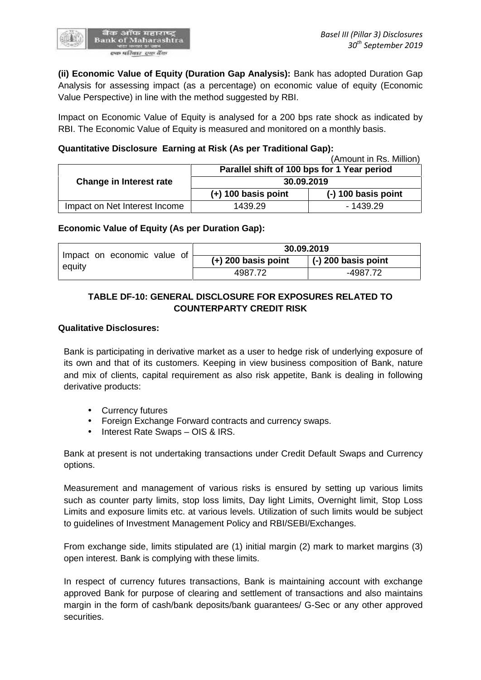**(ii) Economic Value of Equity (Duration Gap Analysis):** Bank has adopted Duration Gap Analysis for assessing impact (as a percentage) on economic value of equity (Economic Value Perspective) in line with the method suggested by RBI.

Impact on Economic Value of Equity is analysed for a 200 bps rate shock as indicated by RBI. The Economic Value of Equity is measured and monitored on a monthly basis.

## **Quantitative Disclosure Earning at Risk (As per Traditional Gap):**

|                               |                                                           | (Amount in Rs. Million) |
|-------------------------------|-----------------------------------------------------------|-------------------------|
|                               | Parallel shift of 100 bps for 1 Year period<br>30.09.2019 |                         |
| Change in Interest rate       |                                                           |                         |
|                               | $(+)$ 100 basis point                                     | $(-)$ 100 basis point   |
| Impact on Net Interest Income | 1439.29                                                   | $-1439.29$              |

### **Economic Value of Equity (As per Duration Gap):**

|                                       | 30.09.2019            |                             |  |
|---------------------------------------|-----------------------|-----------------------------|--|
| Impact on economic value of<br>equity | $(+)$ 200 basis point | $\vert$ (-) 200 basis point |  |
|                                       | 4987.72               | -4987.72                    |  |

# **TABLE DF-10: GENERAL DISCLOSURE FOR EXPOSURES RELATED TO COUNTERPARTY CREDIT RISK**

### **Qualitative Disclosures:**

Bank is participating in derivative market as a user to hedge risk of underlying exposure of its own and that of its customers. Keeping in view business composition of Bank, nature and mix of clients, capital requirement as also risk appetite, Bank is dealing in following derivative products:

- Currency futures
- Foreign Exchange Forward contracts and currency swaps.
- Interest Rate Swaps OIS & IRS.

Bank at present is not undertaking transactions under Credit Default Swaps and Currency options.

Measurement and management of various risks is ensured by setting up various limits such as counter party limits, stop loss limits, Day light Limits, Overnight limit, Stop Loss Limits and exposure limits etc. at various levels. Utilization of such limits would be subject to guidelines of Investment Management Policy and RBI/SEBI/Exchanges.

From exchange side, limits stipulated are (1) initial margin (2) mark to market margins (3) open interest. Bank is complying with these limits.

In respect of currency futures transactions, Bank is maintaining account with exchange approved Bank for purpose of clearing and settlement of transactions and also maintains margin in the form of cash/bank deposits/bank guarantees/ G-Sec or any other approved securities.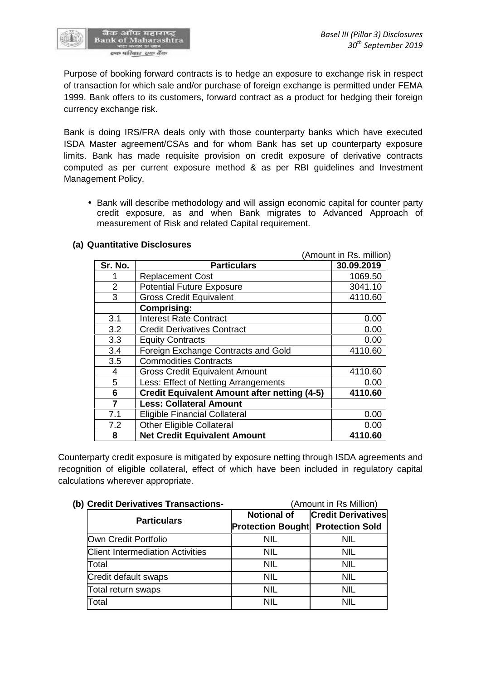

Purpose of booking forward contracts is to hedge an exposure to exchange risk in respect of transaction for which sale and/or purchase of foreign exchange is permitted under FEMA 1999. Bank offers to its customers, forward contract as a product for hedging their foreign currency exchange risk.

Bank is doing IRS/FRA deals only with those counterparty banks which have executed ISDA Master agreement/CSAs and for whom Bank has set up counterparty exposure limits. Bank has made requisite provision on credit exposure of derivative contracts computed as per current exposure method & as per RBI guidelines and Investment Management Policy.

 Bank will describe methodology and will assign economic capital for counter party credit exposure, as and when Bank migrates to Advanced Approach of measurement of Risk and related Capital requirement.

|                | (Amount in Rs. million)                             |            |  |
|----------------|-----------------------------------------------------|------------|--|
| Sr. No.        | <b>Particulars</b>                                  | 30.09.2019 |  |
| 1              | <b>Replacement Cost</b>                             | 1069.50    |  |
| $\overline{2}$ | <b>Potential Future Exposure</b>                    | 3041.10    |  |
| 3              | <b>Gross Credit Equivalent</b>                      | 4110.60    |  |
|                | <b>Comprising:</b>                                  |            |  |
| 3.1            | <b>Interest Rate Contract</b>                       | 0.00       |  |
| 3.2            | <b>Credit Derivatives Contract</b>                  | 0.00       |  |
| 3.3            | <b>Equity Contracts</b>                             | 0.00       |  |
| 3.4            | Foreign Exchange Contracts and Gold                 | 4110.60    |  |
| 3.5            | <b>Commodities Contracts</b>                        |            |  |
| $\overline{4}$ | <b>Gross Credit Equivalent Amount</b>               | 4110.60    |  |
| 5              | Less: Effect of Netting Arrangements                | 0.00       |  |
| 6              | <b>Credit Equivalent Amount after netting (4-5)</b> | 4110.60    |  |
| $\overline{7}$ | <b>Less: Collateral Amount</b>                      |            |  |
| 7.1            | <b>Eligible Financial Collateral</b>                | 0.00       |  |
| 7.2            | <b>Other Eligible Collateral</b>                    | 0.00       |  |
| 8              | <b>Net Credit Equivalent Amount</b>                 | 4110.60    |  |

### **(a) Quantitative Disclosures**

Counterparty credit exposure is mitigated by exposure netting through ISDA agreements and recognition of eligible collateral, effect of which have been included in regulatory capital calculations wherever appropriate.

| (b) Credit Derivatives Transactions-    | (Amount in Rs Million)                   |                           |  |
|-----------------------------------------|------------------------------------------|---------------------------|--|
|                                         | <b>Notional of</b>                       | <b>Credit Derivatives</b> |  |
| <b>Particulars</b>                      | <b>Protection Bought Protection Sold</b> |                           |  |
| Own Credit Portfolio                    | NIL                                      | NIL                       |  |
| <b>Client Intermediation Activities</b> | <b>NIL</b>                               | <b>NIL</b>                |  |
| Total                                   | <b>NIL</b>                               | NIL                       |  |
| Credit default swaps                    | <b>NIL</b>                               | <b>NIL</b>                |  |
| Total return swaps                      | <b>NIL</b>                               | NIL                       |  |
| Total                                   | NIL                                      | NII                       |  |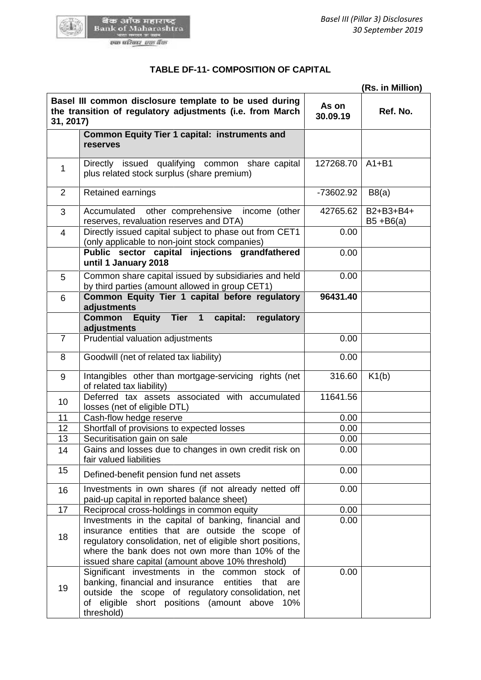

| (Rs. in Million) |                                                                                                                                                                                                                                                                                 |                   |                           |  |
|------------------|---------------------------------------------------------------------------------------------------------------------------------------------------------------------------------------------------------------------------------------------------------------------------------|-------------------|---------------------------|--|
| 31, 2017)        | Basel III common disclosure template to be used during<br>the transition of regulatory adjustments (i.e. from March                                                                                                                                                             | As on<br>30.09.19 | Ref. No.                  |  |
|                  | <b>Common Equity Tier 1 capital: instruments and</b><br>reserves                                                                                                                                                                                                                |                   |                           |  |
| 1                | Directly issued qualifying common share capital<br>plus related stock surplus (share premium)                                                                                                                                                                                   | 127268.70         | $A1 + B1$                 |  |
| 2                | Retained earnings                                                                                                                                                                                                                                                               | -73602.92         | B8(a)                     |  |
| 3                | Accumulated<br>other comprehensive<br>income (other<br>reserves, revaluation reserves and DTA)                                                                                                                                                                                  | 42765.62          | B2+B3+B4+<br>$B5 + B6(a)$ |  |
| $\overline{4}$   | Directly issued capital subject to phase out from CET1<br>(only applicable to non-joint stock companies)                                                                                                                                                                        | 0.00              |                           |  |
|                  | Public sector capital injections grandfathered<br>until 1 January 2018                                                                                                                                                                                                          | 0.00              |                           |  |
| 5                | Common share capital issued by subsidiaries and held<br>by third parties (amount allowed in group CET1)                                                                                                                                                                         | 0.00              |                           |  |
| 6                | Common Equity Tier 1 capital before regulatory<br>adjustments                                                                                                                                                                                                                   | 96431.40          |                           |  |
|                  | <b>Common</b><br>Equity Tier 1<br>capital:<br>regulatory<br>adjustments                                                                                                                                                                                                         |                   |                           |  |
| $\overline{7}$   | Prudential valuation adjustments                                                                                                                                                                                                                                                | 0.00              |                           |  |
| 8                | Goodwill (net of related tax liability)                                                                                                                                                                                                                                         | 0.00              |                           |  |
| 9                | Intangibles other than mortgage-servicing rights (net<br>of related tax liability)                                                                                                                                                                                              | 316.60            | K1(b)                     |  |
| 10               | Deferred tax assets associated with accumulated<br>losses (net of eligible DTL)                                                                                                                                                                                                 | 11641.56          |                           |  |
| 11               | Cash-flow hedge reserve                                                                                                                                                                                                                                                         | 0.00              |                           |  |
| 12               | Shortfall of provisions to expected losses                                                                                                                                                                                                                                      | 0.00              |                           |  |
| 13               | Securitisation gain on sale                                                                                                                                                                                                                                                     | 0.00              |                           |  |
| 14               | Gains and losses due to changes in own credit risk on<br>fair valued liabilities                                                                                                                                                                                                | 0.00              |                           |  |
| 15               | Defined-benefit pension fund net assets                                                                                                                                                                                                                                         | 0.00              |                           |  |
| 16               | Investments in own shares (if not already netted off<br>paid-up capital in reported balance sheet)                                                                                                                                                                              | 0.00              |                           |  |
| 17               | Reciprocal cross-holdings in common equity                                                                                                                                                                                                                                      | 0.00              |                           |  |
| 18               | Investments in the capital of banking, financial and<br>insurance entities that are outside the scope of<br>regulatory consolidation, net of eligible short positions,<br>where the bank does not own more than 10% of the<br>issued share capital (amount above 10% threshold) | 0.00              |                           |  |
| 19               | Significant investments in the common stock of<br>banking, financial and insurance<br>entities<br>that<br>are<br>outside the scope of regulatory consolidation, net<br>of eligible short positions (amount above 10%<br>threshold)                                              | 0.00              |                           |  |

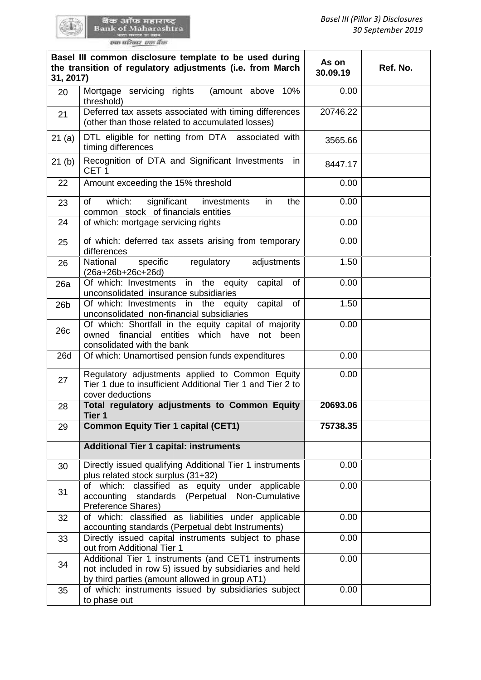GO LA

| 31, 2017)       | Basel III common disclosure template to be used during<br>the transition of regulatory adjustments (i.e. from March                                             | As on<br>30.09.19 | Ref. No. |
|-----------------|-----------------------------------------------------------------------------------------------------------------------------------------------------------------|-------------------|----------|
| 20              | Mortgage servicing rights<br>(amount above<br>10%<br>threshold)                                                                                                 | 0.00              |          |
| 21              | Deferred tax assets associated with timing differences<br>(other than those related to accumulated losses)                                                      | 20746.22          |          |
| 21(a)           | DTL eligible for netting from DTA associated with<br>timing differences                                                                                         | 3565.66           |          |
| 21(b)           | Recognition of DTA and Significant Investments<br>in<br>CET <sub>1</sub>                                                                                        | 8447.17           |          |
| 22              | Amount exceeding the 15% threshold                                                                                                                              | 0.00              |          |
| 23              | of<br>which:<br>significant<br>the<br>investments<br>in<br>common stock of financials entities                                                                  | 0.00              |          |
| 24              | of which: mortgage servicing rights                                                                                                                             | 0.00              |          |
| 25              | of which: deferred tax assets arising from temporary<br>differences                                                                                             | 0.00              |          |
| 26              | National<br>specific<br>regulatory<br>adjustments<br>(26a+26b+26c+26d)                                                                                          | 1.50              |          |
| 26a             | Of which: Investments in the equity<br>capital<br>of<br>unconsolidated insurance subsidiaries                                                                   | 0.00              |          |
| 26 <sub>b</sub> | Of which: Investments in the<br>capital<br>of<br>equity<br>unconsolidated non-financial subsidiaries                                                            | 1.50              |          |
| 26c             | Of which: Shortfall in the equity capital of majority<br>financial<br>entities<br>which<br>owned<br>have<br>been<br>not<br>consolidated with the bank           | 0.00              |          |
| <b>26d</b>      | Of which: Unamortised pension funds expenditures                                                                                                                | 0.00              |          |
| 27              | Regulatory adjustments applied to Common Equity<br>Tier 1 due to insufficient Additional Tier 1 and Tier 2 to<br>cover deductions                               | 0.00              |          |
| 28              | Total regulatory adjustments to Common Equity<br>Tier 1                                                                                                         | 20693.06          |          |
| 29              | <b>Common Equity Tier 1 capital (CET1)</b>                                                                                                                      | 75738.35          |          |
|                 | <b>Additional Tier 1 capital: instruments</b>                                                                                                                   |                   |          |
| 30              | Directly issued qualifying Additional Tier 1 instruments<br>plus related stock surplus (31+32)                                                                  | 0.00              |          |
| 31              | of which: classified as equity under applicable<br>accounting standards (Perpetual Non-Cumulative<br>Preference Shares)                                         | 0.00              |          |
| 32              | of which: classified as liabilities under applicable<br>accounting standards (Perpetual debt Instruments)                                                       | 0.00              |          |
| 33              | Directly issued capital instruments subject to phase<br>out from Additional Tier 1                                                                              | 0.00              |          |
| 34              | Additional Tier 1 instruments (and CET1 instruments<br>not included in row 5) issued by subsidiaries and held<br>by third parties (amount allowed in group AT1) | 0.00              |          |
| 35              | of which: instruments issued by subsidiaries subject<br>to phase out                                                                                            | 0.00              |          |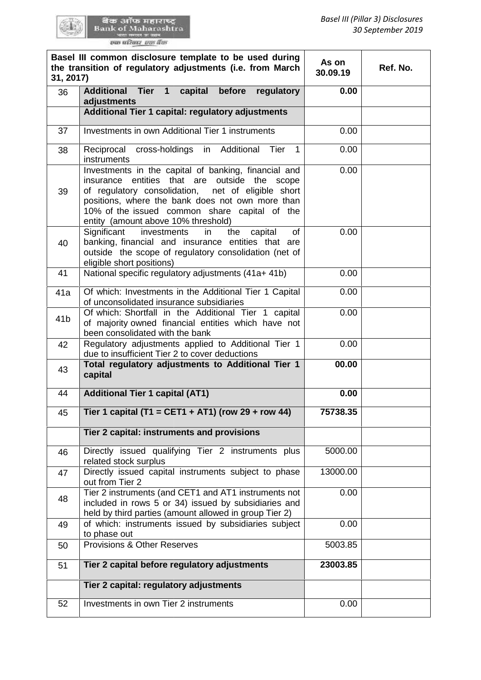| 31, 2017)       | Basel III common disclosure template to be used during<br>the transition of regulatory adjustments (i.e. from March                                                                                                                                                                                              | As on<br>30.09.19 | Ref. No. |
|-----------------|------------------------------------------------------------------------------------------------------------------------------------------------------------------------------------------------------------------------------------------------------------------------------------------------------------------|-------------------|----------|
| 36              | Tier 1<br>capital<br>before<br>regulatory<br><b>Additional</b><br>adjustments<br>Additional Tier 1 capital: regulatory adjustments                                                                                                                                                                               | 0.00              |          |
| 37              | Investments in own Additional Tier 1 instruments                                                                                                                                                                                                                                                                 | 0.00              |          |
|                 |                                                                                                                                                                                                                                                                                                                  |                   |          |
| 38              | Reciprocal cross-holdings in Additional Tier<br>$\mathbf{1}$<br><i>instruments</i>                                                                                                                                                                                                                               | 0.00              |          |
| 39              | Investments in the capital of banking, financial and<br>entities that are outside the<br>insurance<br>scope<br>of regulatory consolidation,<br>net of eligible short<br>positions, where the bank does not own more than<br>10% of the issued common share capital of the<br>entity (amount above 10% threshold) | 0.00              |          |
| 40              | Significant<br>investments<br><b>of</b><br>in<br>the<br>capital<br>banking, financial and insurance entities that are<br>outside the scope of regulatory consolidation (net of<br>eligible short positions)                                                                                                      | 0.00              |          |
| 41              | National specific regulatory adjustments (41a+ 41b)                                                                                                                                                                                                                                                              | 0.00              |          |
| 41a             | Of which: Investments in the Additional Tier 1 Capital<br>of unconsolidated insurance subsidiaries                                                                                                                                                                                                               | 0.00              |          |
| 41 <sub>b</sub> | Of which: Shortfall in the Additional Tier 1 capital<br>of majority owned financial entities which have not<br>been consolidated with the bank                                                                                                                                                                   | 0.00              |          |
| 42              | Regulatory adjustments applied to Additional Tier 1<br>due to insufficient Tier 2 to cover deductions                                                                                                                                                                                                            | 0.00              |          |
| 43              | Total regulatory adjustments to Additional Tier 1<br>capital                                                                                                                                                                                                                                                     | 00.00             |          |
| 44              | <b>Additional Tier 1 capital (AT1)</b>                                                                                                                                                                                                                                                                           | 0.00              |          |
| 45              | Tier 1 capital (T1 = CET1 + AT1) (row 29 + row 44)                                                                                                                                                                                                                                                               | 75738.35          |          |
|                 | Tier 2 capital: instruments and provisions                                                                                                                                                                                                                                                                       |                   |          |
| 46              | Directly issued qualifying Tier 2 instruments plus<br>related stock surplus                                                                                                                                                                                                                                      | 5000.00           |          |
| 47              | Directly issued capital instruments subject to phase<br>out from Tier 2                                                                                                                                                                                                                                          | 13000.00          |          |
| 48              | Tier 2 instruments (and CET1 and AT1 instruments not<br>included in rows 5 or 34) issued by subsidiaries and<br>held by third parties (amount allowed in group Tier 2)                                                                                                                                           | 0.00              |          |
| 49              | of which: instruments issued by subsidiaries subject<br>to phase out                                                                                                                                                                                                                                             | 0.00              |          |
| 50              | <b>Provisions &amp; Other Reserves</b>                                                                                                                                                                                                                                                                           | 5003.85           |          |
| 51              | Tier 2 capital before regulatory adjustments                                                                                                                                                                                                                                                                     | 23003.85          |          |
|                 | Tier 2 capital: regulatory adjustments                                                                                                                                                                                                                                                                           |                   |          |
| 52              | Investments in own Tier 2 instruments                                                                                                                                                                                                                                                                            | 0.00              |          |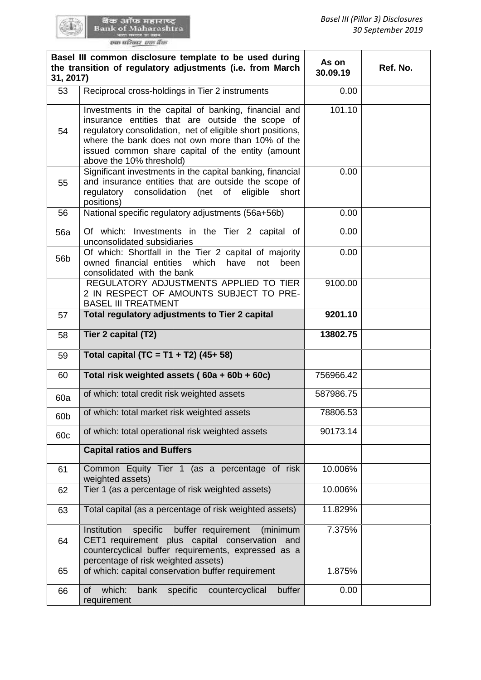GEN:

| 31, 2017)       | Basel III common disclosure template to be used during<br>the transition of regulatory adjustments (i.e. from March                                                                                                                                                                                         | As on<br>30.09.19 | Ref. No. |
|-----------------|-------------------------------------------------------------------------------------------------------------------------------------------------------------------------------------------------------------------------------------------------------------------------------------------------------------|-------------------|----------|
| 53              | Reciprocal cross-holdings in Tier 2 instruments                                                                                                                                                                                                                                                             | 0.00              |          |
| 54              | Investments in the capital of banking, financial and<br>insurance entities that are outside the scope of<br>regulatory consolidation, net of eligible short positions,<br>where the bank does not own more than 10% of the<br>issued common share capital of the entity (amount<br>above the 10% threshold) | 101.10            |          |
| 55              | Significant investments in the capital banking, financial<br>and insurance entities that are outside the scope of<br>consolidation<br>eligible<br>short<br>regulatory<br>(net<br>of<br>positions)                                                                                                           | 0.00              |          |
| 56              | National specific regulatory adjustments (56a+56b)                                                                                                                                                                                                                                                          | 0.00              |          |
| <b>56a</b>      | Of which: Investments in the Tier 2 capital<br>0f<br>unconsolidated subsidiaries                                                                                                                                                                                                                            | 0.00              |          |
| 56 <sub>b</sub> | Of which: Shortfall in the Tier 2 capital of majority<br>owned financial entities which<br>have<br>not<br>been<br>consolidated with the bank                                                                                                                                                                | 0.00              |          |
|                 | REGULATORY ADJUSTMENTS APPLIED TO TIER<br>2 IN RESPECT OF AMOUNTS SUBJECT TO PRE-<br><b>BASEL III TREATMENT</b>                                                                                                                                                                                             | 9100.00           |          |
| 57              | Total regulatory adjustments to Tier 2 capital                                                                                                                                                                                                                                                              | 9201.10           |          |
| 58              | Tier 2 capital (T2)                                                                                                                                                                                                                                                                                         | 13802.75          |          |
| 59              | Total capital (TC = T1 + T2) (45+ 58)                                                                                                                                                                                                                                                                       |                   |          |
| 60              | Total risk weighted assets (60a + 60b + 60c)                                                                                                                                                                                                                                                                | 756966.42         |          |
| 60a             | of which: total credit risk weighted assets                                                                                                                                                                                                                                                                 | 587986.75         |          |
| 60b             | of which: total market risk weighted assets                                                                                                                                                                                                                                                                 | 78806.53          |          |
| 60c             | of which: total operational risk weighted assets                                                                                                                                                                                                                                                            | 90173.14          |          |
|                 | <b>Capital ratios and Buffers</b>                                                                                                                                                                                                                                                                           |                   |          |
| 61              | Common Equity Tier 1 (as a percentage of risk<br>weighted assets)                                                                                                                                                                                                                                           | 10.006%           |          |
| 62              | Tier 1 (as a percentage of risk weighted assets)                                                                                                                                                                                                                                                            | 10.006%           |          |
| 63              | Total capital (as a percentage of risk weighted assets)                                                                                                                                                                                                                                                     | 11.829%           |          |
| 64              | buffer requirement<br>Institution<br>specific<br>(minimum<br>CET1 requirement plus capital conservation<br>and<br>countercyclical buffer requirements, expressed as a<br>percentage of risk weighted assets)                                                                                                | 7.375%            |          |
| 65              | of which: capital conservation buffer requirement                                                                                                                                                                                                                                                           | 1.875%            |          |
| 66              | which:<br>bank<br>buffer<br><b>of</b><br>specific<br>countercyclical<br>requirement                                                                                                                                                                                                                         | 0.00              |          |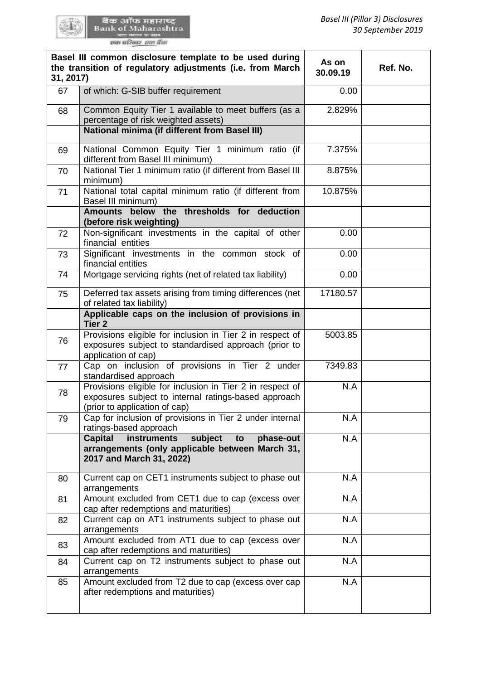QU.

| 31, 2017) | Basel III common disclosure template to be used during<br>the transition of regulatory adjustments (i.e. from March                                | As on<br>30.09.19 | Ref. No. |
|-----------|----------------------------------------------------------------------------------------------------------------------------------------------------|-------------------|----------|
| 67        | of which: G-SIB buffer requirement                                                                                                                 | 0.00              |          |
| 68        | Common Equity Tier 1 available to meet buffers (as a<br>percentage of risk weighted assets)                                                        | 2.829%            |          |
|           | <b>National minima (if different from Basel III)</b>                                                                                               |                   |          |
| 69        | National Common Equity Tier 1 minimum ratio (if<br>different from Basel III minimum)                                                               | 7.375%            |          |
| 70        | National Tier 1 minimum ratio (if different from Basel III<br>minimum)                                                                             | 8.875%            |          |
| 71        | National total capital minimum ratio (if different from<br>Basel III minimum)                                                                      | 10.875%           |          |
|           | Amounts below the thresholds for deduction<br>(before risk weighting)                                                                              |                   |          |
| 72        | Non-significant investments in the capital of other<br>financial entities                                                                          | 0.00              |          |
| 73        | Significant investments in the common stock of<br>financial entities                                                                               | 0.00              |          |
| 74        | Mortgage servicing rights (net of related tax liability)                                                                                           | 0.00              |          |
| 75        | Deferred tax assets arising from timing differences (net<br>of related tax liability)                                                              | 17180.57          |          |
|           | Applicable caps on the inclusion of provisions in<br>Tier <sub>2</sub>                                                                             |                   |          |
| 76        | Provisions eligible for inclusion in Tier 2 in respect of<br>exposures subject to standardised approach (prior to<br>application of cap)           | 5003.85           |          |
| 77        | Cap on inclusion of provisions in Tier 2 under<br>standardised approach                                                                            | 7349.83           |          |
| 78        | Provisions eligible for inclusion in Tier 2 in respect of<br>exposures subject to internal ratings-based approach<br>(prior to application of cap) | N.A               |          |
| 79        | Cap for inclusion of provisions in Tier 2 under internal<br>ratings-based approach                                                                 | N.A               |          |
|           | subject<br><b>Capital</b><br>instruments<br>phase-out<br>to<br>arrangements (only applicable between March 31,<br>2017 and March 31, 2022)         | N.A               |          |
| 80        | Current cap on CET1 instruments subject to phase out<br>arrangements                                                                               | N.A               |          |
| 81        | Amount excluded from CET1 due to cap (excess over<br>cap after redemptions and maturities)                                                         | N.A               |          |
| 82        | Current cap on AT1 instruments subject to phase out<br>arrangements                                                                                | N.A               |          |
| 83        | Amount excluded from AT1 due to cap (excess over<br>cap after redemptions and maturities)                                                          | N.A               |          |
| 84        | Current cap on T2 instruments subject to phase out<br>arrangements                                                                                 | N.A               |          |
| 85        | Amount excluded from T2 due to cap (excess over cap<br>after redemptions and maturities)                                                           | N.A               |          |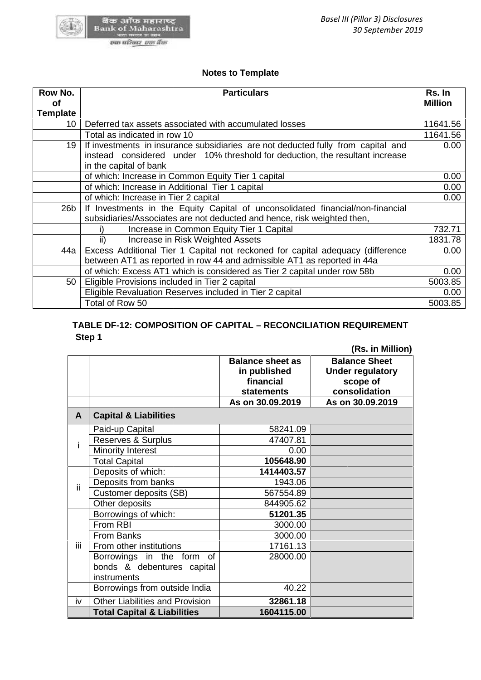

# **Notes to Template Template**

| Row No.<br>οf   | <b>Particulars</b>                                                                                                                                                                         | Rs. In<br><b>Million</b> |  |  |
|-----------------|--------------------------------------------------------------------------------------------------------------------------------------------------------------------------------------------|--------------------------|--|--|
| <b>Template</b> |                                                                                                                                                                                            |                          |  |  |
| 10              | Deferred tax assets associated with accumulated losses                                                                                                                                     | 11641.56                 |  |  |
|                 | Total as indicated in row 10                                                                                                                                                               | 11641.56                 |  |  |
| 19              | If investments in insurance subsidiaries are not deducted fully from capital and<br>instead considered under 10% threshold for deduction, the resultant increase<br>in the capital of bank |                          |  |  |
|                 | of which: Increase in Common Equity Tier 1 capital                                                                                                                                         | 0.00                     |  |  |
|                 | of which: Increase in Additional Tier 1 capital                                                                                                                                            | 0.00                     |  |  |
|                 | of which: Increase in Tier 2 capital                                                                                                                                                       | 0.00                     |  |  |
| 26 <sub>b</sub> | If Investments in the Equity Capital of unconsolidated financial/non-financial<br>subsidiaries/Associates are not deducted and hence, risk weighted then,                                  |                          |  |  |
|                 | Increase in Common Equity Tier 1 Capital                                                                                                                                                   | 732.71                   |  |  |
|                 | ii)<br>Increase in Risk Weighted Assets                                                                                                                                                    | 1831.78                  |  |  |
| 44a             | Excess Additional Tier 1 Capital not reckoned for capital adequacy (difference<br>between AT1 as reported in row 44 and admissible AT1 as reported in 44a                                  | 0.00                     |  |  |
|                 | of which: Excess AT1 which is considered as Tier 2 capital under row 58b                                                                                                                   | 0.00                     |  |  |
| 50              | Eligible Provisions included in Tier 2 capital                                                                                                                                             | 5003.85                  |  |  |
|                 | Eligible Revaluation Reserves included in Tier 2 capital                                                                                                                                   | 0.00                     |  |  |
|                 | Total of Row 50                                                                                                                                                                            | 5003.85                  |  |  |

# **TABLE DF-12: COMPOSITION OF CAPITAL – RECONCILIATION REQUIREMENT DF-12: Step 1 Step 1**

| <b>Total Capital &amp; Liabilities</b><br>1604115.00 |                                                                                                                            |                         |                         |   |  |  |
|------------------------------------------------------|----------------------------------------------------------------------------------------------------------------------------|-------------------------|-------------------------|---|--|--|
| iv                                                   | <b>Other Liabilities and Provision</b>                                                                                     | 32861.18                |                         |   |  |  |
|                                                      | Borrowings from outside India                                                                                              | 40.22                   |                         |   |  |  |
|                                                      | instruments                                                                                                                |                         |                         |   |  |  |
|                                                      | bonds & debentures capital                                                                                                 |                         |                         |   |  |  |
|                                                      | Borrowings in the form of                                                                                                  | 28000.00                |                         |   |  |  |
|                                                      | Ϊij<br>From other institutions<br>17161.13                                                                                 |                         |                         |   |  |  |
|                                                      | From Banks                                                                                                                 | 3000.00                 |                         |   |  |  |
|                                                      | From RBI                                                                                                                   | 3000.00                 |                         |   |  |  |
|                                                      | Borrowings of which:                                                                                                       | 51201.35                |                         |   |  |  |
|                                                      | Customer deposits (SB)<br>Other deposits                                                                                   | 567554.89<br>844905.62  |                         |   |  |  |
| ii.                                                  | Deposits from banks                                                                                                        | 1943.06                 |                         |   |  |  |
|                                                      | Deposits of which:                                                                                                         | 1414403.57              |                         |   |  |  |
|                                                      | <b>Total Capital</b>                                                                                                       | 105648.90               |                         |   |  |  |
|                                                      | Minority Interest                                                                                                          | 0.00                    |                         |   |  |  |
| i                                                    | <b>Reserves &amp; Surplus</b>                                                                                              | 47407.81                |                         |   |  |  |
|                                                      | Paid-up Capital                                                                                                            | 58241.09                |                         |   |  |  |
| $\mathsf{A}$                                         | <b>Capital &amp; Liabilities</b>                                                                                           |                         |                         |   |  |  |
|                                                      |                                                                                                                            | As on 30.09.2019        | As on 30.09.2019        |   |  |  |
|                                                      |                                                                                                                            | <b>statements</b>       | consolidation           |   |  |  |
|                                                      |                                                                                                                            | financial               | scope of                |   |  |  |
|                                                      |                                                                                                                            | in published            | <b>Under regulatory</b> |   |  |  |
|                                                      |                                                                                                                            | <b>Balance sheet as</b> | <b>Balance Sheet</b>    |   |  |  |
|                                                      | TABLE DF-12: COMPOSITION OF CAPITAL - RECONCILIATION REQUIREMENT<br>Step 1                                                 |                         | (Rs. in Million)        |   |  |  |
|                                                      |                                                                                                                            |                         |                         |   |  |  |
|                                                      | Total of Row 50                                                                                                            |                         |                         | 5 |  |  |
|                                                      | Eligible Revaluation Reserves included in Tier 2 capital                                                                   |                         |                         |   |  |  |
| 50                                                   | of which: Excess AT1 which is considered as Tier 2 capital under row 58b<br>Eligible Provisions included in Tier 2 capital |                         |                         | 5 |  |  |
|                                                      | between AT1 as reported in row 44 and admissible AT1 as reported in 44a                                                    |                         |                         |   |  |  |
| 4a                                                   | Excess Additional Tier 1 Capital not reckoned for capital adequacy (difference                                             |                         |                         |   |  |  |
|                                                      | ii)<br>Increase in Risk Weighted Assets                                                                                    |                         |                         |   |  |  |
|                                                      | Increase in Common Equity Tier 1 Capital<br>i)                                                                             |                         |                         |   |  |  |
|                                                      | subsidiaries/Associates are not deducted and hence, risk weighted then,                                                    |                         |                         |   |  |  |
| 6b                                                   | If Investments in the Equity Capital of unconsolidated financial/non-financial                                             |                         |                         |   |  |  |
|                                                      | of which: Increase in Tier 2 capital                                                                                       |                         |                         |   |  |  |
|                                                      | of which: Increase in Additional Tier 1 capital                                                                            |                         |                         |   |  |  |
| of which: Increase in Common Equity Tier 1 capital   |                                                                                                                            |                         |                         |   |  |  |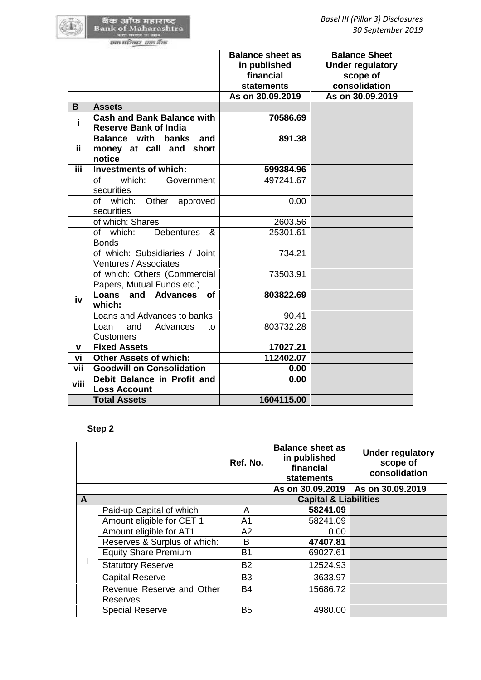|      |                                                                                    | <b>Balance sheet as</b><br>in published<br>financial<br><b>statements</b> |                                                                           |                                  | <b>Balance Sheet</b><br><b>Under regulatory</b><br>scope of<br>consolidation |
|------|------------------------------------------------------------------------------------|---------------------------------------------------------------------------|---------------------------------------------------------------------------|----------------------------------|------------------------------------------------------------------------------|
| B    |                                                                                    | As on 30.09.2019                                                          |                                                                           |                                  | As on 30.09.2019                                                             |
| i.   | <b>Assets</b><br><b>Cash and Bank Balance with</b><br><b>Reserve Bank of India</b> |                                                                           | 70586.69                                                                  |                                  |                                                                              |
| ii.  | <b>Balance with</b><br>banks<br>and<br>money at call and short<br>notice           |                                                                           | 891.38                                                                    |                                  |                                                                              |
| iii. | Investments of which:                                                              |                                                                           | 599384.96                                                                 |                                  |                                                                              |
|      | which:<br>Government<br>οf<br>securities                                           |                                                                           | 497241.67                                                                 |                                  |                                                                              |
|      | of which:<br>Other approved<br>securities                                          |                                                                           | 0.00                                                                      |                                  |                                                                              |
|      | of which: Shares                                                                   |                                                                           | 2603.56                                                                   |                                  |                                                                              |
|      | of which:<br><b>Debentures</b><br>&<br><b>Bonds</b>                                |                                                                           | 25301.61                                                                  |                                  |                                                                              |
|      | of which: Subsidiaries / Joint<br>Ventures / Associates                            |                                                                           | 734.21                                                                    |                                  |                                                                              |
|      | of which: Others (Commercial<br>Papers, Mutual Funds etc.)                         |                                                                           | 73503.91                                                                  |                                  |                                                                              |
| iv   | Loans and Advances<br><b>of</b><br>which:                                          |                                                                           | 803822.69                                                                 |                                  |                                                                              |
|      | Loans and Advances to banks                                                        |                                                                           | 90.41                                                                     |                                  |                                                                              |
|      | Loan<br>and<br>Advances<br>to<br><b>Customers</b>                                  |                                                                           | 803732.28                                                                 |                                  |                                                                              |
| V    | <b>Fixed Assets</b>                                                                |                                                                           | 17027.21                                                                  |                                  |                                                                              |
| vi   | <b>Other Assets of which:</b>                                                      |                                                                           | 112402.07                                                                 |                                  |                                                                              |
| vii  | <b>Goodwill on Consolidation</b>                                                   |                                                                           | 0.00                                                                      |                                  |                                                                              |
| viii | Debit Balance in Profit and<br><b>Loss Account</b>                                 |                                                                           | 0.00                                                                      |                                  |                                                                              |
|      | <b>Total Assets</b>                                                                |                                                                           | 1604115.00                                                                |                                  |                                                                              |
|      | Step 2                                                                             |                                                                           |                                                                           |                                  |                                                                              |
|      |                                                                                    | Ref. No.                                                                  | <b>Balance sheet as</b><br>in published<br>financial<br><b>statements</b> |                                  | <b>Under regulatory</b><br>scope of<br>consolidation                         |
|      |                                                                                    |                                                                           | As on 30.09.2019                                                          |                                  | As on 30.09.2019                                                             |
| A    |                                                                                    |                                                                           |                                                                           | <b>Capital &amp; Liabilities</b> |                                                                              |
|      | Paid-up Capital of which                                                           | A                                                                         |                                                                           | 58241.09                         |                                                                              |
|      | Amount eligible for CET 1                                                          | A <sub>1</sub>                                                            |                                                                           | 58241.09                         |                                                                              |
|      | Amount eligible for AT1                                                            | A <sub>2</sub>                                                            |                                                                           | 0.00                             |                                                                              |
|      | Reserves & Surplus of which:                                                       | B                                                                         |                                                                           | 47407.81                         |                                                                              |
|      | <b>Equity Share Premium</b><br>Statutory Reserve                                   | B1<br>R <sub>2</sub>                                                      |                                                                           | 69027.61<br>1252493              |                                                                              |
|      |                                                                                    |                                                                           |                                                                           |                                  |                                                                              |

# **Step 2**

|   |                                              | Ref. No.       | <b>Balance sheet as</b><br>in published<br>financial<br>statements | <b>Under regulatory</b><br>scope of<br>consolidation |
|---|----------------------------------------------|----------------|--------------------------------------------------------------------|------------------------------------------------------|
|   |                                              |                | As on 30.09.2019                                                   | As on 30.09.2019                                     |
| A |                                              |                | <b>Capital &amp; Liabilities</b>                                   |                                                      |
|   | Paid-up Capital of which                     | A              | 58241.09                                                           |                                                      |
|   | Amount eligible for CET 1                    | A1             | 58241.09                                                           |                                                      |
|   | Amount eligible for AT1                      | A2             | 0.00                                                               |                                                      |
|   | Reserves & Surplus of which:                 | B              | 47407.81                                                           |                                                      |
|   | <b>Equity Share Premium</b>                  | <b>B1</b>      | 69027.61                                                           |                                                      |
|   | <b>Statutory Reserve</b>                     | <b>B2</b>      | 12524.93                                                           |                                                      |
|   | <b>Capital Reserve</b>                       | B <sub>3</sub> | 3633.97                                                            |                                                      |
|   | Revenue Reserve and Other<br><b>Reserves</b> | <b>B4</b>      | 15686.72                                                           |                                                      |
|   | <b>Special Reserve</b>                       | B <sub>5</sub> | 4980.00                                                            |                                                      |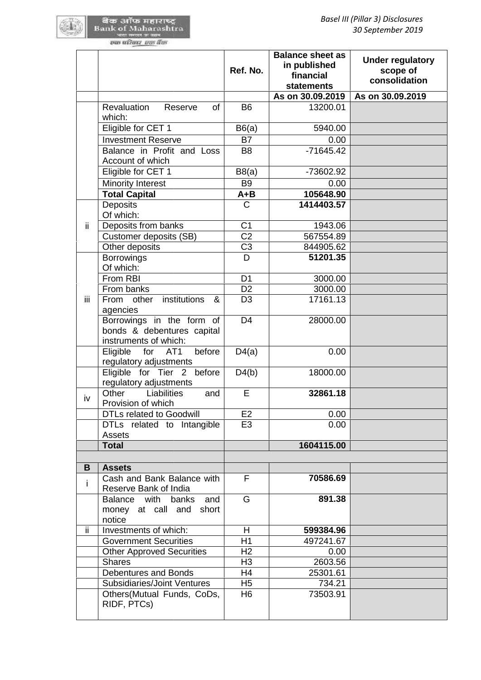|     |                                                                                  | Ref. No.                         | <b>Balance sheet as</b><br>in published<br>financial<br><b>statements</b><br>As on 30.09.2019 | <b>Under regulatory</b><br>scope of<br>consolidation<br>As on 30.09.2019 |
|-----|----------------------------------------------------------------------------------|----------------------------------|-----------------------------------------------------------------------------------------------|--------------------------------------------------------------------------|
|     | Revaluation<br>Reserve<br>0f                                                     | <b>B6</b>                        | 13200.01                                                                                      |                                                                          |
|     | which:                                                                           |                                  |                                                                                               |                                                                          |
|     | Eligible for CET 1                                                               | B6(a)                            | 5940.00                                                                                       |                                                                          |
|     | <b>Investment Reserve</b>                                                        | <b>B7</b>                        | 0.00                                                                                          |                                                                          |
|     | Balance in Profit and Loss<br>Account of which                                   | B <sub>8</sub>                   | $-71645.42$                                                                                   |                                                                          |
|     | Eligible for CET 1                                                               | B8(a)                            | -73602.92                                                                                     |                                                                          |
|     | <b>Minority Interest</b>                                                         | <b>B9</b>                        | 0.00                                                                                          |                                                                          |
|     | <b>Total Capital</b>                                                             | A+B                              | 105648.90                                                                                     |                                                                          |
|     | <b>Deposits</b><br>Of which:                                                     | C                                | 1414403.57                                                                                    |                                                                          |
| ii. | Deposits from banks                                                              | C <sub>1</sub>                   | 1943.06                                                                                       |                                                                          |
|     | Customer deposits (SB)                                                           | C <sub>2</sub>                   | 567554.89                                                                                     |                                                                          |
|     | Other deposits                                                                   | C <sub>3</sub>                   | 844905.62                                                                                     |                                                                          |
|     | <b>Borrowings</b><br>Of which:                                                   | D                                | 51201.35                                                                                      |                                                                          |
|     | From RBI                                                                         | D <sub>1</sub>                   | 3000.00                                                                                       |                                                                          |
|     | From banks                                                                       | D <sub>2</sub>                   | 3000.00                                                                                       |                                                                          |
| iii | institutions<br>From<br>other<br>&<br>agencies                                   | D <sub>3</sub>                   | 17161.13                                                                                      |                                                                          |
|     | Borrowings in the form of<br>bonds & debentures capital<br>instruments of which: | D <sub>4</sub>                   | 28000.00                                                                                      |                                                                          |
|     | for AT1<br>before<br>Eligible<br>regulatory adjustments                          | D4(a)                            | 0.00                                                                                          |                                                                          |
|     | Eligible for Tier 2 before<br>regulatory adjustments                             | D4(b)                            | 18000.00                                                                                      |                                                                          |
| iv  | Other<br>Liabilities<br>and<br>Provision of which                                | E                                | 32861.18                                                                                      |                                                                          |
|     | <b>DTLs related to Goodwill</b>                                                  | E2                               | 0.00                                                                                          |                                                                          |
|     | DTLs related to Intangible<br>Assets                                             | E <sub>3</sub>                   | 0.00                                                                                          |                                                                          |
|     | <b>Total</b>                                                                     |                                  | 1604115.00                                                                                    |                                                                          |
|     |                                                                                  |                                  |                                                                                               |                                                                          |
| B   | <b>Assets</b>                                                                    |                                  |                                                                                               |                                                                          |
| i.  | Cash and Bank Balance with<br>Reserve Bank of India                              | F                                | 70586.69                                                                                      |                                                                          |
|     | <b>Balance</b><br>with<br>banks<br>and<br>money at call and<br>short<br>notice   | G                                | 891.38                                                                                        |                                                                          |
| ii. | Investments of which:                                                            | H                                | 599384.96                                                                                     |                                                                          |
|     | <b>Government Securities</b>                                                     | H1                               | 497241.67                                                                                     |                                                                          |
|     | <b>Other Approved Securities</b>                                                 | H <sub>2</sub>                   | 0.00                                                                                          |                                                                          |
|     | <b>Shares</b>                                                                    | H <sub>3</sub>                   | 2603.56                                                                                       |                                                                          |
|     | Debentures and Bonds                                                             | H4                               | 25301.61                                                                                      |                                                                          |
|     | Subsidiaries/Joint Ventures<br>Others(Mutual Funds, CoDs,                        | H <sub>5</sub><br>H <sub>6</sub> | 734.21<br>73503.91                                                                            |                                                                          |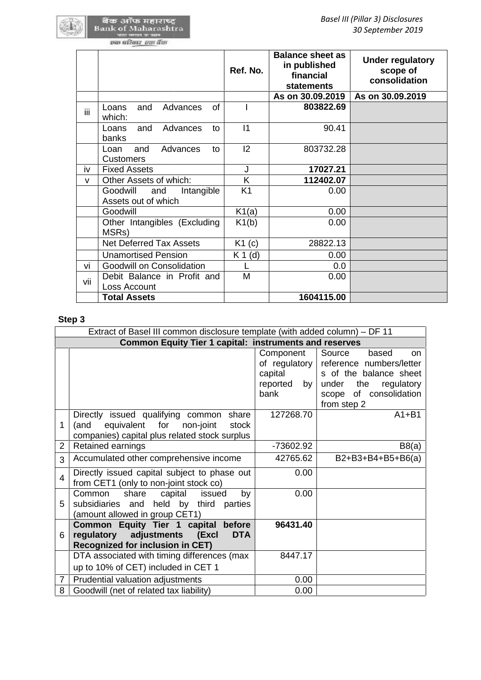|      |                                                      | Ref. No.       | <b>Balance sheet as</b><br>in published<br>financial<br><b>statements</b> | <b>Under regulatory</b><br>scope of<br>consolidation |
|------|------------------------------------------------------|----------------|---------------------------------------------------------------------------|------------------------------------------------------|
|      |                                                      |                | As on 30.09.2019                                                          | As on 30.09.2019                                     |
| iii. | of<br>Advances<br>and<br>Loans<br>which:             |                | 803822.69                                                                 |                                                      |
|      | Loans<br>and<br>Advances<br>to<br>banks              | 11             | 90.41                                                                     |                                                      |
|      | Advances<br>Loan<br>and<br>to<br><b>Customers</b>    | 2              | 803732.28                                                                 |                                                      |
| iv   | <b>Fixed Assets</b>                                  | J              | 17027.21                                                                  |                                                      |
| v    | Other Assets of which:                               | K              | 112402.07                                                                 |                                                      |
|      | Goodwill<br>Intangible<br>and<br>Assets out of which | K <sub>1</sub> | 0.00                                                                      |                                                      |
|      | Goodwill                                             | K1(a)          | 0.00                                                                      |                                                      |
|      | Other Intangibles (Excluding<br>MSRs)                | K1(b)          | 0.00                                                                      |                                                      |
|      | <b>Net Deferred Tax Assets</b>                       | K1(c)          | 28822.13                                                                  |                                                      |
|      | <b>Unamortised Pension</b>                           | $K 1$ (d)      | 0.00                                                                      |                                                      |
| vi   | Goodwill on Consolidation                            |                | 0.0                                                                       |                                                      |
| vii  | Debit Balance in Profit and<br>Loss Account          | M              | 0.00                                                                      |                                                      |
|      | <b>Total Assets</b>                                  |                | 1604115.00                                                                |                                                      |

## **Step 3**

|                | Extract of Basel III common disclosure template (with added column) - DF 11                                                                 |                                             |                                                                                                                                                                         |
|----------------|---------------------------------------------------------------------------------------------------------------------------------------------|---------------------------------------------|-------------------------------------------------------------------------------------------------------------------------------------------------------------------------|
|                | <b>Common Equity Tier 1 capital: instruments and reserves</b>                                                                               |                                             |                                                                                                                                                                         |
|                |                                                                                                                                             | Component<br>capital<br>reported by<br>bank | Source<br>based<br><b>on</b><br>of regulatory reference numbers/letter<br>s of the balance sheet<br>the<br>regulatory<br>under<br>scope of consolidation<br>from step 2 |
| 1              | Directly issued qualifying common<br>share<br>equivalent for<br>non-joint<br>stock<br>(and<br>companies) capital plus related stock surplus | 127268.70                                   | $A1 + B1$                                                                                                                                                               |
| $\overline{2}$ | Retained earnings                                                                                                                           | -73602.92                                   | B8(a)                                                                                                                                                                   |
| 3              | Accumulated other comprehensive income                                                                                                      | 42765.62                                    | B2+B3+B4+B5+B6(a)                                                                                                                                                       |
| $\overline{4}$ | Directly issued capital subject to phase out<br>from CET1 (only to non-joint stock co)                                                      | 0.00                                        |                                                                                                                                                                         |
| 5              | capital<br>Common<br>share<br>issued<br>by<br>subsidiaries and held by third parties<br>(amount allowed in group CET1)                      | 0.00                                        |                                                                                                                                                                         |
| 6              | Common Equity Tier 1 capital before<br>regulatory<br>adjustments<br>(Excl<br><b>DTA</b><br><b>Recognized for inclusion in CET)</b>          | 96431.40                                    |                                                                                                                                                                         |
|                | DTA associated with timing differences (max<br>up to 10% of CET) included in CET 1                                                          | 8447.17                                     |                                                                                                                                                                         |
| $\overline{7}$ | Prudential valuation adjustments                                                                                                            | 0.00                                        |                                                                                                                                                                         |
| 8              | Goodwill (net of related tax liability)                                                                                                     | 0.00                                        |                                                                                                                                                                         |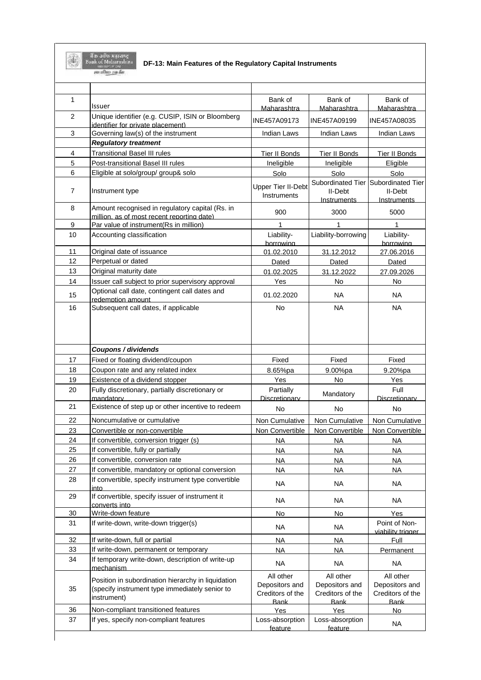

स्या प्रतिवार- इसा **र्थ**ण

**DF-13: Main Features of the Regulatory Capital Instruments**

| $\mathbf{1}$   | Issuer                                                                                                              | Bank of                                         | Bank of                                         | Bank of                                         |
|----------------|---------------------------------------------------------------------------------------------------------------------|-------------------------------------------------|-------------------------------------------------|-------------------------------------------------|
| 2              | Unique identifier (e.g. CUSIP, ISIN or Bloomberg<br>identifier for private placement)                               | Maharashtra<br>INE457A09173                     | Maharashtra<br>INE457A09199                     | Maharashtra<br>INE457A08035                     |
| 3              | Governing law(s) of the instrument                                                                                  | Indian Laws                                     | Indian Laws                                     | Indian Laws                                     |
|                | <b>Regulatory treatment</b>                                                                                         |                                                 |                                                 |                                                 |
| 4              | <b>Transitional Basel III rules</b>                                                                                 | <b>Tier II Bonds</b>                            | Tier II Bonds                                   | <b>Tier II Bonds</b>                            |
| 5              | Post-transitional Basel III rules                                                                                   | Ineligible                                      | Ineligible                                      | Eligible                                        |
| 6              | Eligible at solo/group/ group& solo                                                                                 | Solo                                            | Solo                                            | Solo                                            |
| $\overline{7}$ | Instrument type                                                                                                     | <b>Upper Tier II-Debt</b><br>Instruments        | Subordinated Tier<br>II-Debt                    | Subordinated Tier<br>II-Debt                    |
| 8              | Amount recognised in regulatory capital (Rs. in                                                                     |                                                 | Instruments                                     | <b>Instruments</b>                              |
|                | million, as of most recent reporting date).                                                                         | 900                                             | 3000                                            | 5000                                            |
| 9              | Par value of instrument(Rs in million)                                                                              | 1                                               | 1                                               | $\mathbf{1}$                                    |
| 10             | Accounting classification                                                                                           | Liability-<br>borrowing                         | Liability-borrowing                             | Liability-<br>borrowing                         |
| 11             | Original date of issuance                                                                                           | 01.02.2010                                      | 31.12.2012                                      | 27.06.2016                                      |
| 12             | Perpetual or dated                                                                                                  | Dated                                           | Dated                                           | Dated                                           |
| 13             | Original maturity date                                                                                              | 01.02.2025                                      | 31.12.2022                                      | 27.09.2026                                      |
| 14             | Issuer call subject to prior supervisory approval                                                                   | Yes                                             | No                                              | No                                              |
| 15             | Optional call date, contingent call dates and<br>redemption amount                                                  | 01.02.2020                                      | <b>NA</b>                                       | NA.                                             |
| 16             | Subsequent call dates, if applicable                                                                                | <b>No</b>                                       | <b>NA</b>                                       | <b>NA</b>                                       |
|                | Coupons / dividends                                                                                                 |                                                 |                                                 |                                                 |
| 17             | Fixed or floating dividend/coupon                                                                                   | Fixed                                           | Fixed                                           | Fixed                                           |
| 18             | Coupon rate and any related index                                                                                   | 8.65%pa                                         | 9.00%pa                                         | 9.20%pa                                         |
| 19             | Existence of a dividend stopper                                                                                     | Yes                                             | No                                              | Yes                                             |
| 20             | Fully discretionary, partially discretionary or<br>mandatory                                                        | Partially<br>Discretionary                      | Mandatory                                       | Full<br>Discretionary                           |
| 21             | Existence of step up or other incentive to redeem                                                                   | No                                              | No                                              | No                                              |
|                |                                                                                                                     |                                                 |                                                 |                                                 |
|                | Noncumulative or cumulative                                                                                         | Non Cumulative                                  | Non Cumulative                                  | Non Cumulative                                  |
| 22<br>23       | Convertible or non-convertible                                                                                      | Non Convertible                                 | Non Convertible                                 | Non Convertible                                 |
| 24             | If convertible, conversion trigger (s)                                                                              | <b>NA</b>                                       | <b>NA</b>                                       | <b>NA</b>                                       |
| 25             | If convertible, fully or partially                                                                                  | <b>NA</b>                                       | <b>NA</b>                                       | <b>NA</b>                                       |
| 26             | If convertible, conversion rate                                                                                     | <b>NA</b>                                       | <b>NA</b>                                       | <b>NA</b>                                       |
| 27             | If convertible, mandatory or optional conversion                                                                    | <b>NA</b>                                       | <b>NA</b>                                       | <b>NA</b>                                       |
| 28             | If convertible, specify instrument type convertible<br>into                                                         | NA                                              | <b>NA</b>                                       | <b>NA</b>                                       |
| 29             | If convertible, specify issuer of instrument it<br>converts into                                                    | <b>NA</b>                                       | <b>NA</b>                                       | <b>NA</b>                                       |
| 30             | Write-down feature                                                                                                  | No                                              | No                                              | Yes                                             |
| 31             | If write-down, write-down trigger(s)                                                                                | <b>NA</b>                                       | <b>NA</b>                                       | Point of Non-<br>viability trigger              |
|                | If write-down, full or partial                                                                                      | <b>NA</b>                                       | <b>NA</b>                                       | Full                                            |
|                | If write-down, permanent or temporary                                                                               | <b>NA</b>                                       | <b>NA</b>                                       | Permanent                                       |
| 33<br>34       | If temporary write-down, description of write-up<br>mechanism                                                       | <b>NA</b>                                       | <b>NA</b>                                       | <b>NA</b>                                       |
| 32<br>35       | Position in subordination hierarchy in liquidation<br>(specify instrument type immediately senior to<br>instrument) | All other<br>Depositors and<br>Creditors of the | All other<br>Depositors and<br>Creditors of the | All other<br>Depositors and<br>Creditors of the |
| 36             | Non-compliant transitioned features                                                                                 | <b>Bank</b><br>Yes                              | <b>Bank</b><br>Yes                              | <b>Bank</b><br>No                               |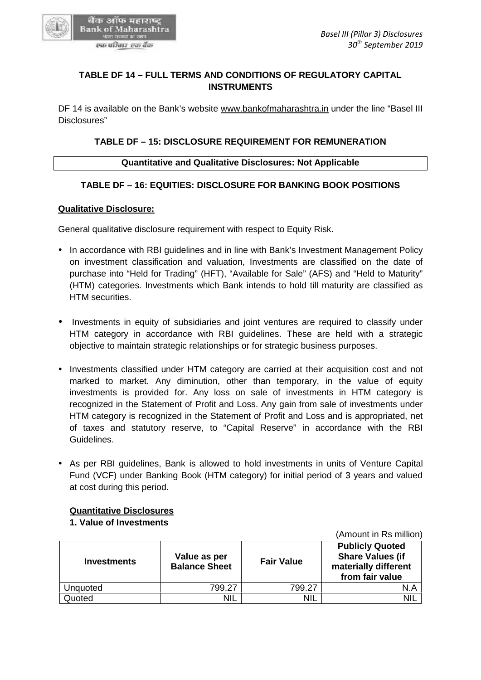

# **TABLE DF 14 – FULL TERMS AND CONDITIONS OF REGULATORY CAPITAL INSTRUMENTS**

DF 14 is available on the Bank's website www.bankofmaharashtra.in under the line "Basel III Disclosures" TABLE DF 14 – FULL TERMS AND CONDITIONS OF REGULATORY CAPITAL<br>INSTRUMENTS<br>4 is available on the Bank's website <u>www.bankofmaharashtra.in</u> under the line "Ba<br>psures"<br>TABLE DF – 15: DISCLOSURE REQUIREMENT FOR REMUNERATION<br>Qu

# **TABLE DF – 15: DISCLOSURE REQUIREMENT FOR REMUNERATION**

### **Quantitative and Qualitative Disclosures: Not Applicable**

## **TABLE DF – 16: EQUITIES: DISCLOSURE FOR BANKING BOOK POSITIONS**

#### **Qualitative Disclosure:**

General qualitative disclosure requirement with respect to Equity Risk.

- In accordance with RBI guidelines and in line with Bank's Investment Management Policy on investment classification and valuation, Investments are classified on the date of purchase into "Held for Trading" (HFT), "Available for Sale" (AFS) and "Held to Maturity" (HTM) categories. Investments which Bank intends to hold till maturity are classified as HTM securities. In accordance with RBI guidelines and in line with Bank's Investment Management Policy<br>on investment classification and valuation, Investments are classified on the date of<br>purchase into "Held for Trading" (HFT), "Availabl
- Investments in equity of subsidiaries and joint ventures are required to classify under HTM category in accordance with RBI guidelines. These are held with a strategic objective to maintain strategic relationships or for strategic business purposes.
- Investments classified under HTM category are carried at their acquisition cost and not • Investments classified under HTM category are carried at their acquisition cost and not<br>marked to market. Any diminution, other than temporary, in the value of equity investments is provided for. Any loss on sale of investments in HTM category is recognized in the Statement of Profit and Loss. Any gain from sale of investments under HTM category is recognized in the Statement of Profit and Loss and is appropriated, net of taxes and statutory reserve, to "Capital Reserve" in accordance with the RBI Guidelines. investments is provided for. Any loss on sale of investments in HTM category is<br>recognized in the Statement of Profit and Loss. Any gain from sale of investments under<br>HTM category is recognized in the Statement of Profit m strategic relationships or for strategic business<br>
ied under HTM category are carried at their acc<br>
... Any diminution, other than temporary, in<br>
wided for. Any loss on sale of investments<br>
tatement of Profit and Loss. A
- As per RBI guidelines, Bank is allowed to hold investments in units of Venture Capital Fund (VCF) under Banking Book (HTM category) for initial period of 3 years and valued at cost during this period. • As per RBI guidelines, Bank is allowed to hold investments in units of Fund (VCF) under Banking Book (HTM category) for initial period of 3 y at cost during this period.

### **Quantitative Disclosures**

### **1. Value of Investments 1. Value**

**Investments Value as per Balance Sheet Fair Value Publicly Quoted Share Values (if materially different from fair value** Unquoted  $799.27$  799.27 799.27 N.A Quoted NIL NIL NIL NIL NIL NIL NIL **Value Fair Valuefrom fair** 

(Amount in Rs million)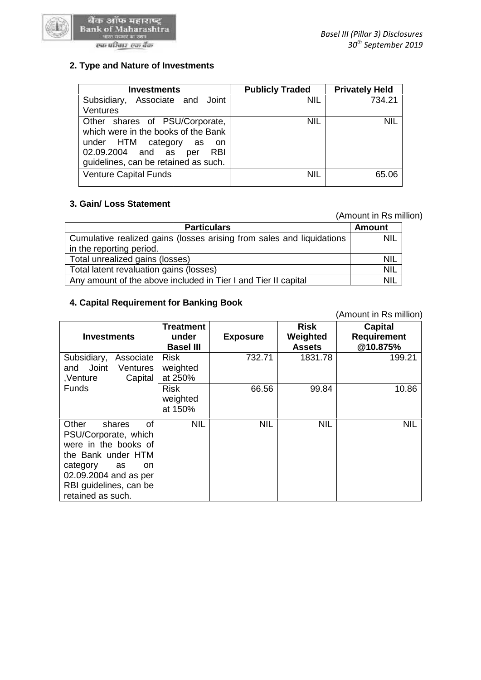

#### एक परिवार-एक बैंक

| <b>Investments</b>                                                                                                                                                                          | <b>Publicly Traded</b> | <b>Privately Held</b> |
|---------------------------------------------------------------------------------------------------------------------------------------------------------------------------------------------|------------------------|-----------------------|
| Associate and Joint<br>Subsidiary,<br><b>Ventures</b>                                                                                                                                       | <b>NIL</b>             | 734.21                |
| Other shares of PSU/Corporate,<br>which were in the books of the Bank<br>under HTM category<br>as<br>- on<br>02.09.2004 and as<br><b>RBI</b><br>per<br>guidelines, can be retained as such. | <b>NIL</b>             | <b>NIL</b>            |
| <b>Venture Capital Funds</b>                                                                                                                                                                | <b>NIL</b>             | 65.06                 |

# **3. Gain/ Loss Statement 3.**

## (Amount in Rs million)

|                                                                       | (Amount in Rs million) |  |
|-----------------------------------------------------------------------|------------------------|--|
| <b>Particulars</b>                                                    | <b>Amount</b>          |  |
| Cumulative realized gains (losses arising from sales and liquidations | <b>NIL</b>             |  |
| in the reporting period.                                              |                        |  |
| Total unrealized gains (losses)                                       | <b>NIL</b>             |  |
| Total latent revaluation gains (losses)                               | <b>NIL</b>             |  |
| Any amount of the above included in Tier I and Tier II capital        | <b>NIL</b>             |  |

#### **4. Capital Requirement for Banking Book 4. Capital Requirement**

| Cumulative realized gains (losses arising from sales and liquidations | NIL              |                 |               |                        |
|-----------------------------------------------------------------------|------------------|-----------------|---------------|------------------------|
| in the reporting period.                                              |                  |                 |               |                        |
| Total unrealized gains (losses)                                       | <b>NIL</b>       |                 |               |                        |
| Total latent revaluation gains (losses)                               | <b>NIL</b>       |                 |               |                        |
| Any amount of the above included in Tier I and Tier II capital        | <b>NIL</b>       |                 |               |                        |
|                                                                       |                  |                 |               |                        |
| 4. Capital Requirement for Banking Book                               |                  |                 |               |                        |
|                                                                       |                  |                 |               |                        |
|                                                                       |                  |                 |               | (Amount in Rs million) |
|                                                                       | Treatment        |                 | <b>Risk</b>   | <b>Capital</b>         |
| <b>Investments</b>                                                    | under            | <b>Exposure</b> | Weighted      | <b>Requirement</b>     |
|                                                                       | <b>Basel III</b> |                 | <b>Assets</b> | @10.875%               |
| Subsidiary,<br>Associate                                              | <b>Risk</b>      | 732.71          | 1831.78       | 199.21                 |
| Joint<br>and<br>Ventures                                              | weighted         |                 |               |                        |
| Capital<br>,Venture                                                   | at 250%          |                 |               |                        |
| <b>Funds</b>                                                          | <b>Risk</b>      | 66.56           | 99.84         | 10.86                  |
|                                                                       | weighted         |                 |               |                        |
|                                                                       | at 150%          |                 |               |                        |
|                                                                       |                  |                 |               |                        |
| of<br>Other<br>shares                                                 | <b>NIL</b>       | <b>NIL</b>      | <b>NIL</b>    | <b>NIL</b>             |
| PSU/Corporate, which                                                  |                  |                 |               |                        |
| were in the books of                                                  |                  |                 |               |                        |
| the Bank under HTM                                                    |                  |                 |               |                        |
| category<br>as<br>on                                                  |                  |                 |               |                        |
| 02.09.2004 and as per                                                 |                  |                 |               |                        |
| RBI guidelines, can be                                                |                  |                 |               |                        |
| retained as such.                                                     |                  |                 |               |                        |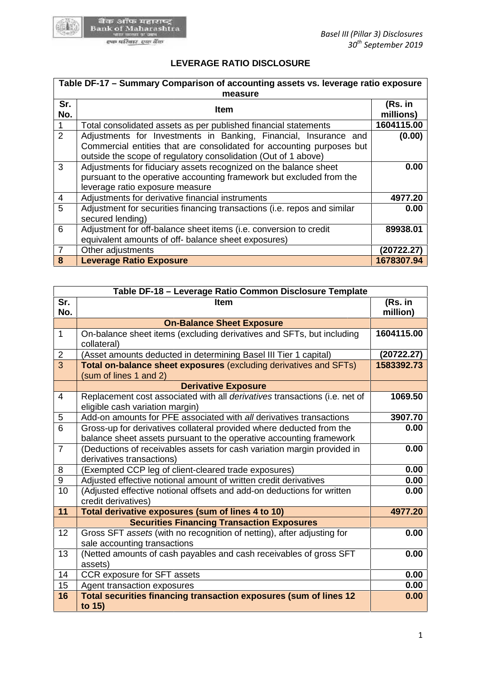

# **LEVERAGE RATIO DISCLOSURE**

|                |                                                                                                                                                                                                             | Table DF-17 - Summary Comparison of accounting assets vs. leverage ratio exposure |  |
|----------------|-------------------------------------------------------------------------------------------------------------------------------------------------------------------------------------------------------------|-----------------------------------------------------------------------------------|--|
| Sr.<br>No.     | measure<br>Item                                                                                                                                                                                             | (Rs. in<br>millions)                                                              |  |
|                | Total consolidated assets as per published financial statements                                                                                                                                             | 1604115.00                                                                        |  |
| $\overline{2}$ | Adjustments for Investments in Banking, Financial, Insurance and<br>Commercial entities that are consolidated for accounting purposes but<br>outside the scope of regulatory consolidation (Out of 1 above) | (0.00)                                                                            |  |
| 3              | Adjustments for fiduciary assets recognized on the balance sheet<br>pursuant to the operative accounting framework but excluded from the<br>leverage ratio exposure measure                                 | 0.00                                                                              |  |
| $\overline{4}$ | Adjustments for derivative financial instruments                                                                                                                                                            | 4977.20                                                                           |  |
| 5              | Adjustment for securities financing transactions (i.e. repos and similar<br>secured lending)                                                                                                                | 0.00                                                                              |  |
| 6              | Adjustment for off-balance sheet items (i.e. conversion to credit<br>equivalent amounts of off- balance sheet exposures)                                                                                    | 89938.01                                                                          |  |
| $\overline{7}$ | Other adjustments                                                                                                                                                                                           | (20722.27)                                                                        |  |
| 8              | <b>Leverage Ratio Exposure</b>                                                                                                                                                                              | 1678307.94                                                                        |  |

| 6              | Adjustment for off-balance sheet items (i.e. conversion to credit                                                                           | 89938.01            |
|----------------|---------------------------------------------------------------------------------------------------------------------------------------------|---------------------|
|                | equivalent amounts of off- balance sheet exposures)                                                                                         |                     |
| $\overline{7}$ | Other adjustments                                                                                                                           | (20722.27)          |
| 8              | Leverage Ratio Exposure                                                                                                                     | 1678307.94          |
|                |                                                                                                                                             |                     |
|                | Table DF-18 - Leverage Ratio Common Disclosure Template                                                                                     |                     |
| Sr.<br>No.     | <b>Item</b>                                                                                                                                 | (Rs. in<br>million) |
|                | <b>On-Balance Sheet Exposure</b>                                                                                                            |                     |
| $\mathbf{1}$   | On-balance sheet items (excluding derivatives and SFTs, but including<br>collateral)                                                        | 1604115.00          |
| $\overline{2}$ | (Asset amounts deducted in determining Basel III Tier 1 capital)                                                                            | (20722.27)          |
| $\overline{3}$ | Total on-balance sheet exposures (excluding derivatives and SFTs)<br>(sum of lines 1 and 2)                                                 | 1583392.73          |
|                | <b>Derivative Exposure</b>                                                                                                                  |                     |
| 4              | Replacement cost associated with all derivatives transactions (i.e. net of<br>eligible cash variation margin)                               | 1069.50             |
| 5              | Add-on amounts for PFE associated with all derivatives transactions                                                                         | 3907.70             |
| 6              | Gross-up for derivatives collateral provided where deducted from the<br>balance sheet assets pursuant to the operative accounting framework | 0.00                |
| $\overline{7}$ | (Deductions of receivables assets for cash variation margin provided in<br>derivatives transactions)                                        | 0.00                |
| 8              | (Exempted CCP leg of client-cleared trade exposures)                                                                                        | 0.00                |
| 9              | Adjusted effective notional amount of written credit derivatives                                                                            | 0.00                |
| 10             | (Adjusted effective notional offsets and add-on deductions for written<br>credit derivatives)                                               | 0.00                |
| 11             | Total derivative exposures (sum of lines 4 to 10)                                                                                           | 4977.20             |
|                | <b>Securities Financing Transaction Exposures</b>                                                                                           |                     |
| 12             | Gross SFT assets (with no recognition of netting), after adjusting for<br>sale accounting transactions                                      | 0.00                |
| 13             | (Netted amounts of cash payables and cash receivables of gross SFT<br>assets)                                                               | 0.00                |
| 14             | CCR exposure for SFT assets                                                                                                                 | 0.00                |
| 15             | Agent transaction exposures                                                                                                                 | 0.00                |
| 16             | Total securities financing transaction exposures (sum of lines 12<br>to 15)                                                                 | 0.00                |